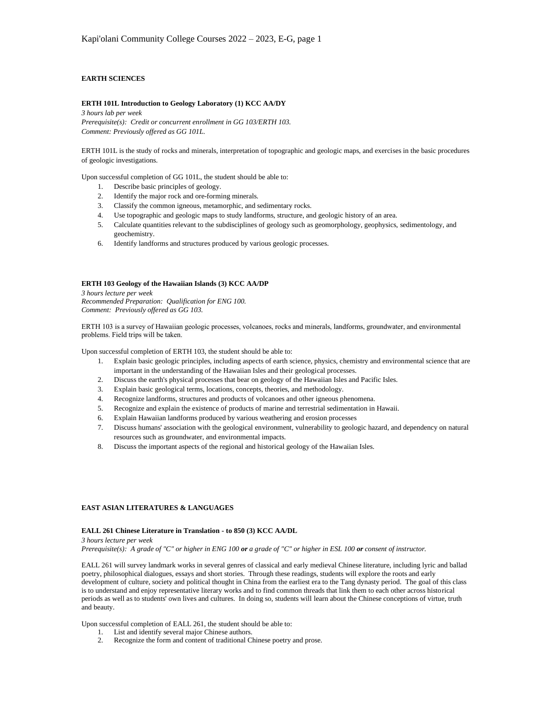# **EARTH SCIENCES**

# **ERTH 101L Introduction to Geology Laboratory (1) KCC AA/DY**

*3 hours lab per week Prerequisite(s): Credit or concurrent enrollment in GG 103/ERTH 103. Comment: Previously offered as GG 101L.*

ERTH 101L is the study of rocks and minerals, interpretation of topographic and geologic maps, and exercises in the basic procedures of geologic investigations.

Upon successful completion of GG 101L, the student should be able to:

- 1. Describe basic principles of geology.
- 2. Identify the major rock and ore-forming minerals.
- 3. Classify the common igneous, metamorphic, and sedimentary rocks.
- 4. Use topographic and geologic maps to study landforms, structure, and geologic history of an area.
- 5. Calculate quantities relevant to the subdisciplines of geology such as geomorphology, geophysics, sedimentology, and geochemistry.
- 6. Identify landforms and structures produced by various geologic processes.

#### **ERTH 103 Geology of the Hawaiian Islands (3) KCC AA/DP**

*3 hours lecture per week Recommended Preparation: Qualification for ENG 100. Comment: Previously offered as GG 103.*

ERTH 103 is a survey of Hawaiian geologic processes, volcanoes, rocks and minerals, landforms, groundwater, and environmental problems. Field trips will be taken.

Upon successful completion of ERTH 103, the student should be able to:

- 1. Explain basic geologic principles, including aspects of earth science, physics, chemistry and environmental science that are important in the understanding of the Hawaiian Isles and their geological processes.
- 2. Discuss the earth's physical processes that bear on geology of the Hawaiian Isles and Pacific Isles.
- 3. Explain basic geological terms, locations, concepts, theories, and methodology.
- 4. Recognize landforms, structures and products of volcanoes and other igneous phenomena.
- 5. Recognize and explain the existence of products of marine and terrestrial sedimentation in Hawaii.
- 6. Explain Hawaiian landforms produced by various weathering and erosion processes
- 7. Discuss humans' association with the geological environment, vulnerability to geologic hazard, and dependency on natural resources such as groundwater, and environmental impacts.
- 8. Discuss the important aspects of the regional and historical geology of the Hawaiian Isles.

## **EAST ASIAN LITERATURES & LANGUAGES**

## **EALL 261 Chinese Literature in Translation - to 850 (3) KCC AA/DL**

*3 hours lecture per week Prerequisite(s): A grade of "C" or higher in ENG 100 or a grade of "C" or higher in ESL 100 or consent of instructor.*

EALL 261 will survey landmark works in several genres of classical and early medieval Chinese literature, including lyric and ballad poetry, philosophical dialogues, essays and short stories. Through these readings, students will explore the roots and early development of culture, society and political thought in China from the earliest era to the Tang dynasty period. The goal of this class is to understand and enjoy representative literary works and to find common threads that link them to each other across historical periods as well as to students' own lives and cultures. In doing so, students will learn about the Chinese conceptions of virtue, truth and beauty.

Upon successful completion of EALL 261, the student should be able to:

- 1. List and identify several major Chinese authors.
- 2. Recognize the form and content of traditional Chinese poetry and prose.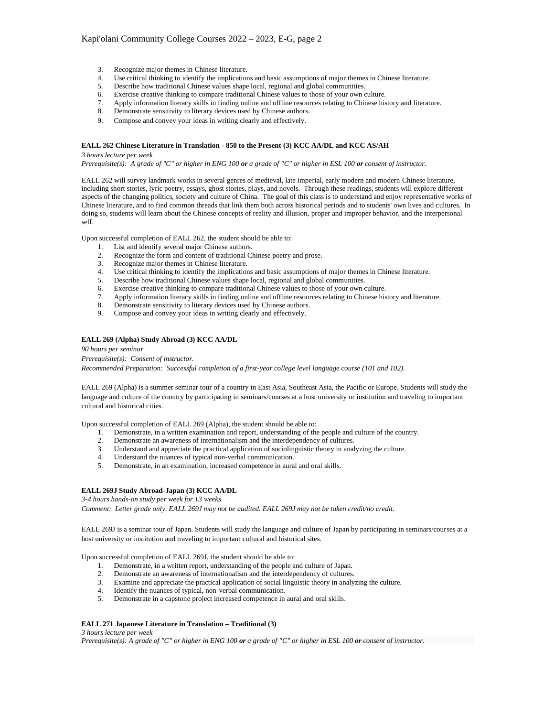- 
- 3. Recognize major themes in Chinese literature.<br>4. Use critical thinking to identify the implication Use critical thinking to identify the implications and basic assumptions of major themes in Chinese literature.
- 5. Describe how traditional Chinese values shape local, regional and global communities.
- 6. Exercise creative thinking to compare traditional Chinese values to those of your own culture.
- 7. Apply information literacy skills in finding online and offline resources relating to Chinese history and literature.
- 8. Demonstrate sensitivity to literary devices used by Chinese authors.
- 9. Compose and convey your ideas in writing clearly and effectively.

## **EALL 262 Chinese Literature in Translation - 850 to the Present (3) KCC AA/DL and KCC AS/AH**

### *3 hours lecture per week*

*Prerequisite(s): A grade of "C" or higher in ENG 100 or a grade of "C" or higher in ESL 100 or consent of instructor.*

EALL 262 will survey landmark works in several genres of medieval, late imperial, early modern and modern Chinese literature, including short stories, lyric poetry, essays, ghost stories, plays, and novels. Through these readings, students will explore different aspects of the changing politics, society and culture of China. The goal of this class is to understand and enjoy representative works of Chinese literature, and to find common threads that link them both across historical periods and to students' own lives and cultures. In doing so, students will learn about the Chinese concepts of reality and illusion, proper and improper behavior, and the interpersonal self.

Upon successful completion of EALL 262, the student should be able to:

- 1. List and identify several major Chinese authors.
- 2. Recognize the form and content of traditional Chinese poetry and prose.<br>3. Recognize major themes in Chinese literature.
- Recognize major themes in Chinese literature.
- 4. Use critical thinking to identify the implications and basic assumptions of major themes in Chinese literature.
- 5. Describe how traditional Chinese values shape local, regional and global communities.
- 6. Exercise creative thinking to compare traditional Chinese values to those of your own culture.
- 7. Apply information literacy skills in finding online and offline resources relating to Chinese history and literature.
- 8. Demonstrate sensitivity to literary devices used by Chinese authors.
- 9. Compose and convey your ideas in writing clearly and effectively.

## **EALL 269 (Alpha) Study Abroad (3) KCC AA/DL**

*90 hours per seminar*

*Prerequisite(s): Consent of instructor.*

*Recommended Preparation: Successful completion of a first-year college level language course (101 and 102).*

EALL 269 (Alpha) is a summer seminar tour of a country in East Asia, Southeast Asia, the Pacific or Europe. Students will study the language and culture of the country by participating in seminars/courses at a host university or institution and traveling to important cultural and historical cities.

Upon successful completion of EALL 269 (Alpha), the student should be able to:

- 1. Demonstrate, in a written examination and report, understanding of the people and culture of the country.
- 2. Demonstrate an awareness of internationalism and the interdependency of cultures.
- 3. Understand and appreciate the practical application of sociolinguistic theory in analyzing the culture.
- 4. Understand the nuances of typical non-verbal communication.
- 5. Demonstrate, in an examination, increased competence in aural and oral skills.

## **EALL 269J Study Abroad-Japan (3) KCC AA/DL**

*3-4 hours hands-on study per week for 13 weeks*

*Comment: Letter grade only. EALL 269J may not be audited. EALL 269J may not be taken credit/no credit.*

EALL 269J is a seminar tour of Japan. Students will study the language and culture of Japan by participating in seminars/courses at a host university or institution and traveling to important cultural and historical sites.

Upon successful completion of EALL 269J, the student should be able to:

- 1. Demonstrate, in a written report, understanding of the people and culture of Japan.
- 2. Demonstrate an awareness of internationalism and the interdependency of cultures.
- 3. Examine and appreciate the practical application of social linguistic theory in analyzing the culture.
- 4. Identify the nuances of typical, non-verbal communication.
- 5. Demonstrate in a capstone project increased competence in aural and oral skills.

# **EALL 271 Japanese Literature in Translation – Traditional (3)**

*3 hours lecture per week Prerequisite(s): A grade of "C" or higher in ENG 100 or a grade of "C" or higher in ESL 100 or consent of instructor.*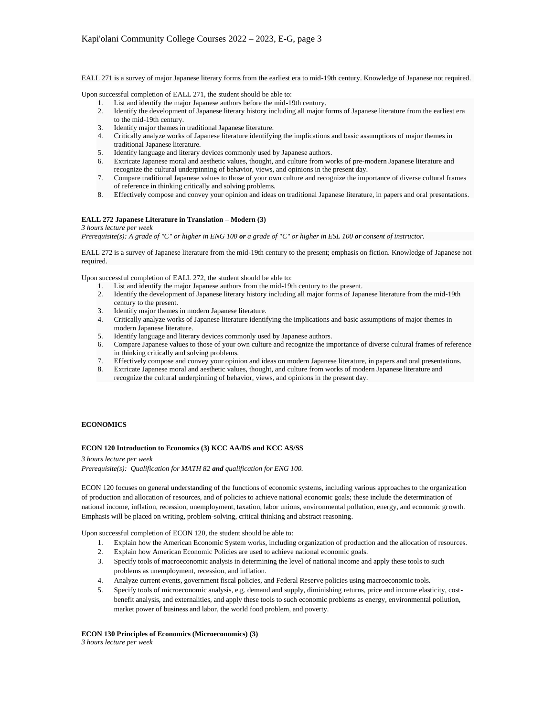EALL 271 is a survey of major Japanese literary forms from the earliest era to mid-19th century. Knowledge of Japanese not required.

Upon successful completion of EALL 271, the student should be able to:

- 1. List and identify the major Japanese authors before the mid-19th century.
- 2. Identify the development of Japanese literary history including all major forms of Japanese literature from the earliest era to the mid-19th century.
- 3. Identify major themes in traditional Japanese literature.
- 4. Critically analyze works of Japanese literature identifying the implications and basic assumptions of major themes in traditional Japanese literature.
- 5. Identify language and literary devices commonly used by Japanese authors.
- 6. Extricate Japanese moral and aesthetic values, thought, and culture from works of pre-modern Japanese literature and recognize the cultural underpinning of behavior, views, and opinions in the present day.
- 7. Compare traditional Japanese values to those of your own culture and recognize the importance of diverse cultural frames of reference in thinking critically and solving problems.
- 8. Effectively compose and convey your opinion and ideas on traditional Japanese literature, in papers and oral presentations.

# **EALL 272 Japanese Literature in Translation – Modern (3)**

*3 hours lecture per week*

*Prerequisite(s): A grade of "C" or higher in ENG 100 or a grade of "C" or higher in ESL 100 or consent of instructor.* 

EALL 272 is a survey of Japanese literature from the mid-19th century to the present; emphasis on fiction. Knowledge of Japanese not required.

Upon successful completion of EALL 272, the student should be able to:

- List and identify the major Japanese authors from the mid-19th century to the present.
- 2. Identify the development of Japanese literary history including all major forms of Japanese literature from the mid-19th century to the present.
- 3. Identify major themes in modern Japanese literature.
- 4. Critically analyze works of Japanese literature identifying the implications and basic assumptions of major themes in modern Japanese literature.
- 5. Identify language and literary devices commonly used by Japanese authors.
- 6. Compare Japanese values to those of your own culture and recognize the importance of diverse cultural frames of reference in thinking critically and solving problems.
- 7. Effectively compose and convey your opinion and ideas on modern Japanese literature, in papers and oral presentations.
- 8. Extricate Japanese moral and aesthetic values, thought, and culture from works of modern Japanese literature and recognize the cultural underpinning of behavior, views, and opinions in the present day.

## **ECONOMICS**

## **ECON 120 Introduction to Economics (3) KCC AA/DS and KCC AS/SS**

*3 hours lecture per week*

*Prerequisite(s): Qualification for MATH 82 and qualification for ENG 100.*

ECON 120 focuses on general understanding of the functions of economic systems, including various approaches to the organization of production and allocation of resources, and of policies to achieve national economic goals; these include the determination of national income, inflation, recession, unemployment, taxation, labor unions, environmental pollution, energy, and economic growth. Emphasis will be placed on writing, problem-solving, critical thinking and abstract reasoning.

Upon successful completion of ECON 120, the student should be able to:

- 1. Explain how the American Economic System works, including organization of production and the allocation of resources.
- 2. Explain how American Economic Policies are used to achieve national economic goals.
- 3. Specify tools of macroeconomic analysis in determining the level of national income and apply these tools to such problems as unemployment, recession, and inflation.
- 4. Analyze current events, government fiscal policies, and Federal Reserve policies using macroeconomic tools.
- 5. Specify tools of microeconomic analysis, e.g. demand and supply, diminishing returns, price and income elasticity, costbenefit analysis, and externalities, and apply these tools to such economic problems as energy, environmental pollution, market power of business and labor, the world food problem, and poverty.

**ECON 130 Principles of Economics (Microeconomics) (3)**

*3 hours lecture per week*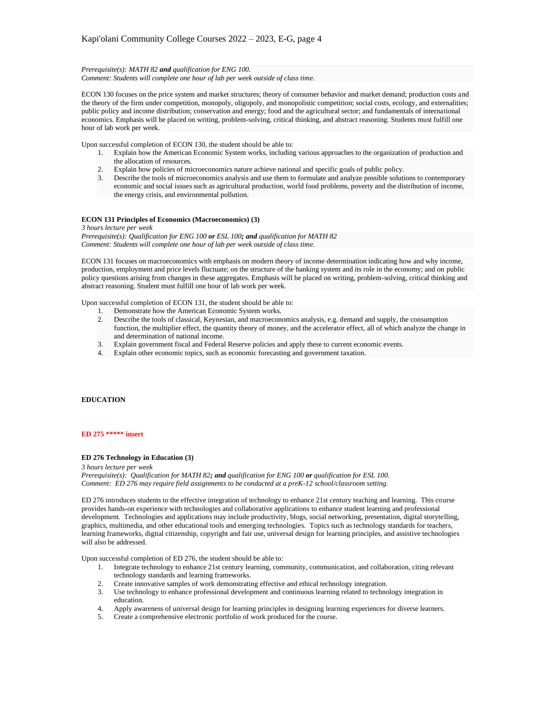#### *Prerequisite(s): MATH 82 and qualification for ENG 100.*

*Comment: Students will complete one hour of lab per week outside of class time.*

ECON 130 focuses on the price system and market structures; theory of consumer behavior and market demand; production costs and the theory of the firm under competition, monopoly, oligopoly, and monopolistic competition; social costs, ecology, and externalities; public policy and income distribution; conservation and energy; food and the agricultural sector; and fundamentals of international economics. Emphasis will be placed on writing, problem-solving, critical thinking, and abstract reasoning. Students must fulfill one hour of lab work per week.

Upon successful completion of ECON 130, the student should be able to:

- 1. Explain how the American Economic System works, including various approaches to the organization of production and the allocation of resources.
- 2. Explain how policies of microeconomics nature achieve national and specific goals of public policy.
- 3. Describe the tools of microeconomics analysis and use them to formulate and analyze possible solutions to contemporary economic and social issues such as agricultural production, world food problems, poverty and the distribution of income, the energy crisis, and environmental pollution.

## **ECON 131 Principles of Economics (Macroeconomics) (3)**

*3 hours lecture per week Prerequisite(s): Qualification for ENG 100 or ESL 100; and qualification for MATH 82 Comment: Students will complete one hour of lab per week outside of class time.*

ECON 131 focuses on macroeconomics with emphasis on modern theory of income determination indicating how and why income, production, employment and price levels fluctuate; on the structure of the banking system and its role in the economy; and on public policy questions arising from changes in these aggregates. Emphasis will be placed on writing, problem-solving, critical thinking and abstract reasoning. Student must fulfill one hour of lab work per week.

Upon successful completion of ECON 131, the student should be able to:

- 1. Demonstrate how the American Economic System works.
- 2. Describe the tools of classical, Keynesian, and macroeconomics analysis, e.g. demand and supply, the consumption function, the multiplier effect, the quantity theory of money, and the accelerator effect, all of which analyze the change in and determination of national income.
- 3. Explain government fiscal and Federal Reserve policies and apply these to current economic events.
- 4. Explain other economic topics, such as economic forecasting and government taxation.

# **EDUCATION**

#### **ED 275 \*\*\*\*\* insert**

#### **ED 276 Technology in Education (3)**

*3 hours lecture per week*

*Prerequisite(s): Qualification for MATH 82; and qualification for ENG 100 or qualification for ESL 100. Comment: ED 276 may require field assignments to be conducted at a preK-12 school/classroom setting.*

ED 276 introduces students to the effective integration of technology to enhance 21st century teaching and learning. This course provides hands-on experience with technologies and collaborative applications to enhance student learning and professional development. Technologies and applications may include productivity, blogs, social networking, presentation, digital storytelling, graphics, multimedia, and other educational tools and emerging technologies. Topics such as technology standards for teachers, learning frameworks, digital citizenship, copyright and fair use, universal design for learning principles, and assistive technologies will also be addressed.

Upon successful completion of ED 276, the student should be able to:

- 1. Integrate technology to enhance 21st century learning, community, communication, and collaboration, citing relevant technology standards and learning frameworks.
- 2. Create innovative samples of work demonstrating effective and ethical technology integration.
- 3. Use technology to enhance professional development and continuous learning related to technology integration in education.
- 4. Apply awareness of universal design for learning principles in designing learning experiences for diverse learners.
- 5. Create a comprehensive electronic portfolio of work produced for the course.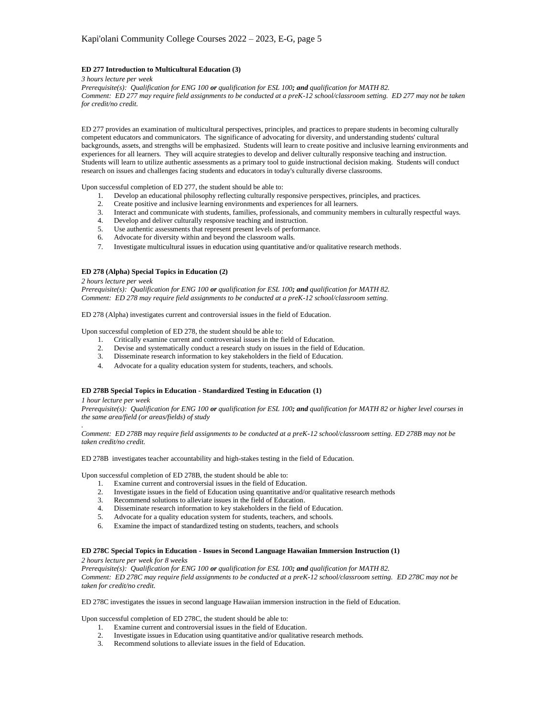## **ED 277 Introduction to Multicultural Education (3)**

*3 hours lecture per week*

*Prerequisite(s): Qualification for ENG 100 or qualification for ESL 100; and qualification for MATH 82. Comment: ED 277 may require field assignments to be conducted at a preK-12 school/classroom setting. ED 277 may not be taken for credit/no credit.*

ED 277 provides an examination of multicultural perspectives, principles, and practices to prepare students in becoming culturally competent educators and communicators. The significance of advocating for diversity, and understanding students' cultural backgrounds, assets, and strengths will be emphasized. Students will learn to create positive and inclusive learning environments and experiences for all learners. They will acquire strategies to develop and deliver culturally responsive teaching and instruction. Students will learn to utilize authentic assessments as a primary tool to guide instructional decision making. Students will conduct research on issues and challenges facing students and educators in today's culturally diverse classrooms.

Upon successful completion of  $ED$  277, the student should be able to:

- 1. Develop an educational philosophy reflecting culturally responsive perspectives, principles, and practices.
- 2. Create positive and inclusive learning environments and experiences for all learners.
- 3. Interact and communicate with students, families, professionals, and community members in culturally respectful ways.
- 4. Develop and deliver culturally responsive teaching and instruction.
- 5. Use authentic assessments that represent present levels of performance.
- 6. Advocate for diversity within and beyond the classroom walls.
- 7. Investigate multicultural issues in education using quantitative and/or qualitative research methods.

## **ED 278 (Alpha) Special Topics in Education (2)**

*2 hours lecture per week*

*Prerequisite(s): Qualification for ENG 100 or qualification for ESL 100; and qualification for MATH 82. Comment: ED 278 may require field assignments to be conducted at a preK-12 school/classroom setting.*

ED 278 (Alpha) investigates current and controversial issues in the field of Education.

Upon successful completion of ED 278, the student should be able to:

- 1. Critically examine current and controversial issues in the field of Education.<br>2. Devise and systematically conduct a research study on issues in the field of F
- 2. Devise and systematically conduct a research study on issues in the field of Education.
- 3. Disseminate research information to key stakeholders in the field of Education.
- 4. Advocate for a quality education system for students, teachers, and schools.

## **ED 278B Special Topics in Education - Standardized Testing in Education (1)**

*1 hour lecture per week*

*.*

*Prerequisite(s): Qualification for ENG 100 or qualification for ESL 100; and qualification for MATH 82 or higher level courses in the same area/field (or areas/fields) of study*

*Comment: ED 278B may require field assignments to be conducted at a preK-12 school/classroom setting. ED 278B may not be taken credit/no credit.*

ED 278B investigates teacher accountability and high-stakes testing in the field of Education.

Upon successful completion of ED 278B, the student should be able to:

- 1. Examine current and controversial issues in the field of Education.
- 2. Investigate issues in the field of Education using quantitative and/or qualitative research methods
- 3. Recommend solutions to alleviate issues in the field of Education.
- 4. Disseminate research information to key stakeholders in the field of Education.
- 5. Advocate for a quality education system for students, teachers, and schools.
- 6. Examine the impact of standardized testing on students, teachers, and schools

## **ED 278C Special Topics in Education - Issues in Second Language Hawaiian Immersion Instruction (1)**

*2 hours lecture per week for 8 weeks*

*Prerequisite(s): Qualification for ENG 100 or qualification for ESL 100; and qualification for MATH 82. Comment: ED 278C may require field assignments to be conducted at a preK-12 school/classroom setting. ED 278C may not be taken for credit/no credit.*

ED 278C investigates the issues in second language Hawaiian immersion instruction in the field of Education.

Upon successful completion of ED 278C, the student should be able to:

- 1. Examine current and controversial issues in the field of Education.
- Investigate issues in Education using quantitative and/or qualitative research methods.
- 3. Recommend solutions to alleviate issues in the field of Education.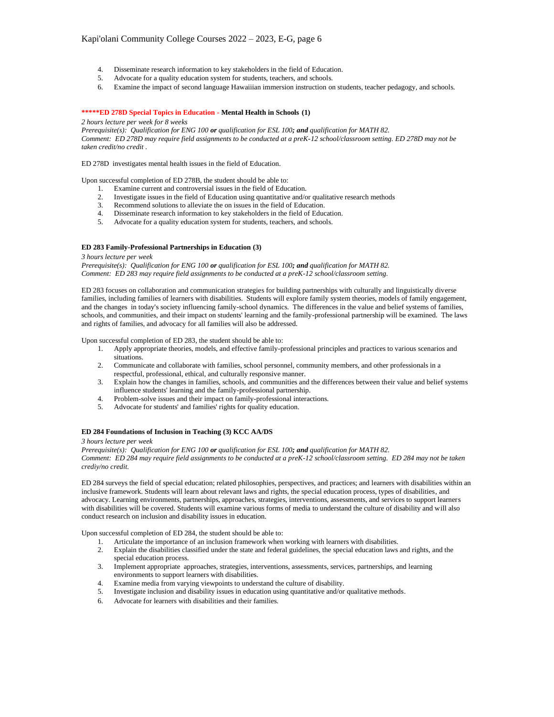- 4. Disseminate research information to key stakeholders in the field of Education.
- 5. Advocate for a quality education system for students, teachers, and schools.
- 6. Examine the impact of second language Hawaiiian immersion instruction on students, teacher pedagogy, and schools.

## **\*\*\*\*\*ED 278D Special Topics in Education - Mental Health in Schools (1)**

*2 hours lecture per week for 8 weeks*

*Prerequisite(s): Qualification for ENG 100 or qualification for ESL 100; and qualification for MATH 82. Comment: ED 278D may require field assignments to be conducted at a preK-12 school/classroom setting. ED 278D may not be taken credit/no credit .*

ED 278D investigates mental health issues in the field of Education.

Upon successful completion of ED 278B, the student should be able to:

- 1. Examine current and controversial issues in the field of Education.
- 2. Investigate issues in the field of Education using quantitative and/or qualitative research methods<br>Pecommond solutions to all with the state of the state of the state of the state of the state of the state of
- 3. Recommend solutions to alleviate the on issues in the field of Education.
- 4. Disseminate research information to key stakeholders in the field of Education.
- 5. Advocate for a quality education system for students, teachers, and schools.

# **ED 283 Family-Professional Partnerships in Education (3)**

#### *3 hours lecture per week*

*Prerequisite(s): Qualification for ENG 100 or qualification for ESL 100; and qualification for MATH 82. Comment: ED 283 may require field assignments to be conducted at a preK-12 school/classroom setting.*

ED 283 focuses on collaboration and communication strategies for building partnerships with culturally and linguistically diverse families, including families of learners with disabilities. Students will explore family system theories, models of family engagement, and the changes in today's society influencing family-school dynamics. The differences in the value and belief systems of families, schools, and communities, and their impact on students' learning and the family-professional partnership will be examined. The laws and rights of families, and advocacy for all families will also be addressed.

Upon successful completion of ED 283, the student should be able to:

- 1. Apply appropriate theories, models, and effective family-professional principles and practices to various scenarios and situations.
- 2. Communicate and collaborate with families, school personnel, community members, and other professionals in a respectful, professional, ethical, and culturally responsive manner.
- 3. Explain how the changes in families, schools, and communities and the differences between their value and belief systems influence students' learning and the family-professional partnership.
- 4. Problem-solve issues and their impact on family-professional interactions.
- 5. Advocate for students' and families' rights for quality education.

## **ED 284 Foundations of Inclusion in Teaching (3) KCC AA/DS**

*3 hours lecture per week*

*Prerequisite(s): Qualification for ENG 100 or qualification for ESL 100; and qualification for MATH 82. Comment: ED 284 may require field assignments to be conducted at a preK-12 school/classroom setting. ED 284 may not be taken crediy/no credit.*

ED 284 surveys the field of special education; related philosophies, perspectives, and practices; and learners with disabilities within an inclusive framework. Students will learn about relevant laws and rights, the special education process, types of disabilities, and advocacy. Learning environments, partnerships, approaches, strategies, interventions, assessments, and services to support learners with disabilities will be covered. Students will examine various forms of media to understand the culture of disability and will also conduct research on inclusion and disability issues in education.

Upon successful completion of ED 284, the student should be able to:

- 1. Articulate the importance of an inclusion framework when working with learners with disabilities.
- 2. Explain the disabilities classified under the state and federal guidelines, the special education laws and rights, and the special education process.
- 3. Implement appropriate approaches, strategies, interventions, assessments, services, partnerships, and learning environments to support learners with disabilities.
- 4. Examine media from varying viewpoints to understand the culture of disability.
- 5. Investigate inclusion and disability issues in education using quantitative and/or qualitative methods.
- 6. Advocate for learners with disabilities and their families.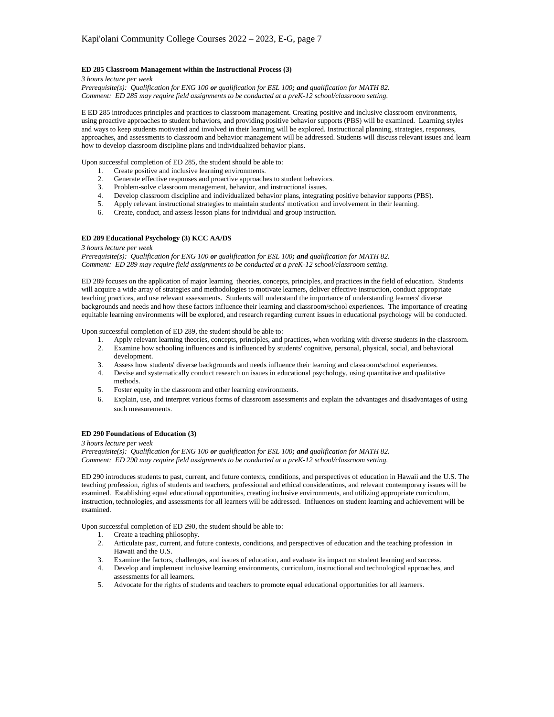## **ED 285 Classroom Management within the Instructional Process (3)**

*3 hours lecture per week*

*Prerequisite(s): Qualification for ENG 100 or qualification for ESL 100; and qualification for MATH 82. Comment: ED 285 may require field assignments to be conducted at a preK-12 school/classroom setting.*

E ED 285 introduces principles and practices to classroom management. Creating positive and inclusive classroom environments, using proactive approaches to student behaviors, and providing positive behavior supports (PBS) will be examined. Learning styles and ways to keep students motivated and involved in their learning will be explored. Instructional planning, strategies, responses, approaches, and assessments to classroom and behavior management will be addressed. Students will discuss relevant issues and learn how to develop classroom discipline plans and individualized behavior plans.

Upon successful completion of ED 285, the student should be able to:

- 
- 1. Create positive and inclusive learning environments.<br>2. Generate effective responses and proactive approach Generate effective responses and proactive approaches to student behaviors.
- 3. Problem-solve classroom management, behavior, and instructional issues.
- 4. Develop classroom discipline and individualized behavior plans, integrating positive behavior supports (PBS).
- 5. Apply relevant instructional strategies to maintain students' motivation and involvement in their learning.
- 6. Create, conduct, and assess lesson plans for individual and group instruction.

# **ED 289 Educational Psychology (3) KCC AA/DS**

#### *3 hours lecture per week*

*Prerequisite(s): Qualification for ENG 100 or qualification for ESL 100; and qualification for MATH 82. Comment: ED 289 may require field assignments to be conducted at a preK-12 school/classroom setting.*

ED 289 focuses on the application of major learning theories, concepts, principles, and practices in the field of education. Students will acquire a wide array of strategies and methodologies to motivate learners, deliver effective instruction, conduct appropriate teaching practices, and use relevant assessments. Students will understand the importance of understanding learners' diverse backgrounds and needs and how these factors influence their learning and classroom/school experiences. The importance of creating equitable learning environments will be explored, and research regarding current issues in educational psychology will be conducted.

Upon successful completion of ED 289, the student should be able to:

- 1. Apply relevant learning theories, concepts, principles, and practices, when working with diverse students in the classroom.<br>2. Examine how schooling influences and is influenced by students' cognitive, personal, physica
- 2. Examine how schooling influences and is influenced by students' cognitive, personal, physical, social, and behavioral development.
- 3. Assess how students' diverse backgrounds and needs influence their learning and classroom/school experiences.
- 4. Devise and systematically conduct research on issues in educational psychology, using quantitative and qualitative methods.
- 5. Foster equity in the classroom and other learning environments.
- 6. Explain, use, and interpret various forms of classroom assessments and explain the advantages and disadvantages of using such measurements.

## **ED 290 Foundations of Education (3)**

#### *3 hours lecture per week*

*Prerequisite(s): Qualification for ENG 100 or qualification for ESL 100; and qualification for MATH 82. Comment: ED 290 may require field assignments to be conducted at a preK-12 school/classroom setting.*

ED 290 introduces students to past, current, and future contexts, conditions, and perspectives of education in Hawaii and the U.S. The teaching profession, rights of students and teachers, professional and ethical considerations, and relevant contemporary issues will be examined. Establishing equal educational opportunities, creating inclusive environments, and utilizing appropriate curriculum, instruction, technologies, and assessments for all learners will be addressed. Influences on student learning and achievement will be examined.

Upon successful completion of ED 290, the student should be able to:

- 1. Create a teaching philosophy.
- 2. Articulate past, current, and future contexts, conditions, and perspectives of education and the teaching profession in Hawaii and the U.S.
- 3. Examine the factors, challenges, and issues of education, and evaluate its impact on student learning and success.
- 4. Develop and implement inclusive learning environments, curriculum, instructional and technological approaches, and assessments for all learners.
- 5. Advocate for the rights of students and teachers to promote equal educational opportunities for all learners.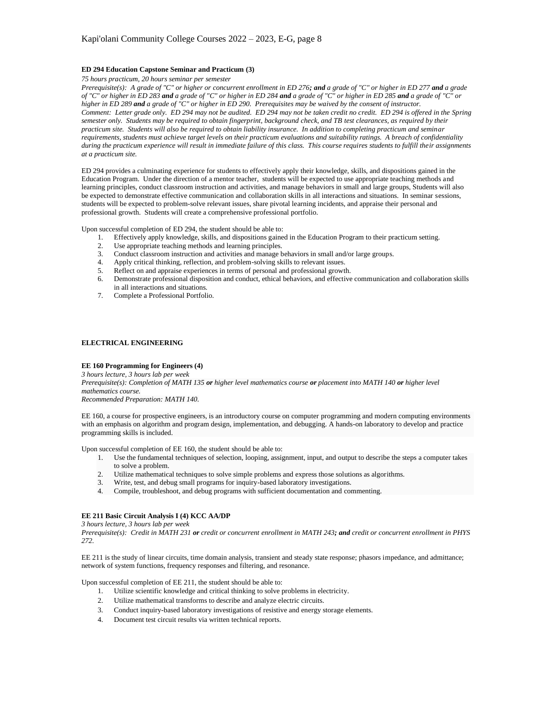## **ED 294 Education Capstone Seminar and Practicum (3)**

*75 hours practicum, 20 hours seminar per semester*

*Prerequisite(s): A grade of "C" or higher or concurrent enrollment in ED 276; and a grade of "C" or higher in ED 277 and a grade of "C" or higher in ED 283 and a grade of "C" or higher in ED 284 and a grade of "C" or higher in ED 285 and a grade of "C" or higher in ED 289 and a grade of "C" or higher in ED 290. Prerequisites may be waived by the consent of instructor. Comment: Letter grade only. ED 294 may not be audited. ED 294 may not be taken credit no credit. ED 294 is offered in the Spring semester only. Students may be required to obtain fingerprint, background check, and TB test clearances, as required by their practicum site. Students will also be required to obtain liability insurance. In addition to completing practicum and seminar requirements, students must achieve target levels on their practicum evaluations and suitability ratings. A breach of confidentiality during the practicum experience will result in immediate failure of this class. This course requires students to fulfill their assignments at a practicum site.*

ED 294 provides a culminating experience for students to effectively apply their knowledge, skills, and dispositions gained in the Education Program. Under the direction of a mentor teacher, students will be expected to use appropriate teaching methods and learning principles, conduct classroom instruction and activities, and manage behaviors in small and large groups, Students will also be expected to demonstrate effective communication and collaboration skills in all interactions and situations. In seminar sessions, students will be expected to problem-solve relevant issues, share pivotal learning incidents, and appraise their personal and professional growth. Students will create a comprehensive professional portfolio.

Upon successful completion of ED 294, the student should be able to:

- 1. Effectively apply knowledge, skills, and dispositions gained in the Education Program to their practicum setting.
- 
- 2. Use appropriate teaching methods and learning principles.<br>3. Conduct classroom instruction and activities and manage b Conduct classroom instruction and activities and manage behaviors in small and/or large groups.
- 4. Apply critical thinking, reflection, and problem-solving skills to relevant issues.
- 5. Reflect on and appraise experiences in terms of personal and professional growth.
- 6. Demonstrate professional disposition and conduct, ethical behaviors, and effective communication and collaboration skills in all interactions and situations.
- 7. Complete a Professional Portfolio.

# **ELECTRICAL ENGINEERING**

# **EE 160 Programming for Engineers (4)**

*3 hours lecture, 3 hours lab per week Prerequisite(s): Completion of MATH 135 or higher level mathematics course or placement into MATH 140 or higher level mathematics course. Recommended Preparation: MATH 140.*

EE 160, a course for prospective engineers, is an introductory course on computer programming and modern computing environments with an emphasis on algorithm and program design, implementation, and debugging. A hands-on laboratory to develop and practice programming skills is included.

Upon successful completion of EE 160, the student should be able to:

- 1. Use the fundamental techniques of selection, looping, assignment, input, and output to describe the steps a computer takes to solve a problem.
- 2. Utilize mathematical techniques to solve simple problems and express those solutions as algorithms.
- 3. Write, test, and debug small programs for inquiry-based laboratory investigations.
- 4. Compile, troubleshoot, and debug programs with sufficient documentation and commenting.

# **EE 211 Basic Circuit Analysis I (4) KCC AA/DP**

*3 hours lecture, 3 hours lab per week*

*Prerequisite(s): Credit in MATH 231 or credit or concurrent enrollment in MATH 243; and credit or concurrent enrollment in PHYS 272.*

EE 211 is the study of linear circuits, time domain analysis, transient and steady state response; phasors impedance, and admittance; network of system functions, frequency responses and filtering, and resonance.

Upon successful completion of EE 211, the student should be able to:

- 1. Utilize scientific knowledge and critical thinking to solve problems in electricity.
- 2. Utilize mathematical transforms to describe and analyze electric circuits.
- 3. Conduct inquiry-based laboratory investigations of resistive and energy storage elements.
- 4. Document test circuit results via written technical reports.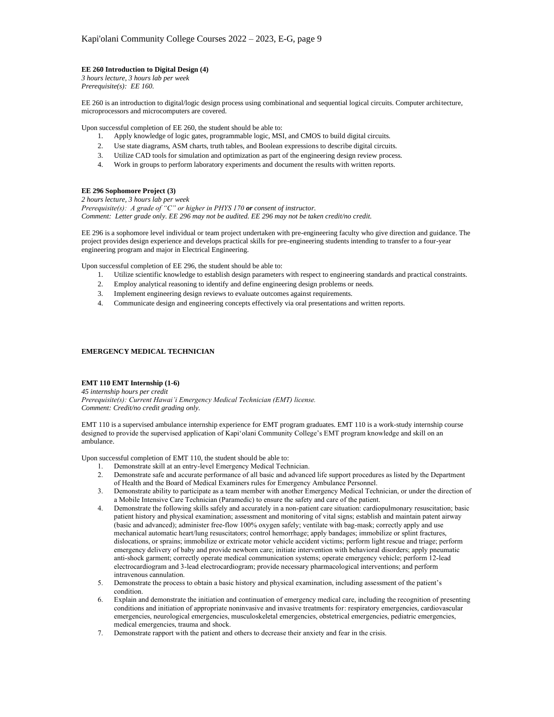# **EE 260 Introduction to Digital Design (4)**

*3 hours lecture, 3 hours lab per week Prerequisite(s): EE 160.*

EE 260 is an introduction to digital/logic design process using combinational and sequential logical circuits. Computer architecture, microprocessors and microcomputers are covered.

Upon successful completion of EE 260, the student should be able to:

- 1. Apply knowledge of logic gates, programmable logic, MSI, and CMOS to build digital circuits.
- 2. Use state diagrams, ASM charts, truth tables, and Boolean expressions to describe digital circuits.
- 3. Utilize CAD tools for simulation and optimization as part of the engineering design review process.
- 4. Work in groups to perform laboratory experiments and document the results with written reports.

# **EE 296 Sophomore Project (3)**

*2 hours lecture, 3 hours lab per week Prerequisite(s): A grade of "C" or higher in PHYS 170 or consent of instructor. Comment: Letter grade only. EE 296 may not be audited. EE 296 may not be taken credit/no credit.*

EE 296 is a sophomore level individual or team project undertaken with pre-engineering faculty who give direction and guidance. The project provides design experience and develops practical skills for pre-engineering students intending to transfer to a four-year engineering program and major in Electrical Engineering.

Upon successful completion of EE 296, the student should be able to:

- 1. Utilize scientific knowledge to establish design parameters with respect to engineering standards and practical constraints.
- 2. Employ analytical reasoning to identify and define engineering design problems or needs.
- 3. Implement engineering design reviews to evaluate outcomes against requirements.
- 4. Communicate design and engineering concepts effectively via oral presentations and written reports.

## **EMERGENCY MEDICAL TECHNICIAN**

# **EMT 110 EMT Internship (1-6)**

*45 internship hours per credit Prerequisite(s): Current Hawai'i Emergency Medical Technician (EMT) license. Comment: Credit/no credit grading only.*

EMT 110 is a supervised ambulance internship experience for EMT program graduates. EMT 110 is a work-study internship course designed to provide the supervised application of Kapi'olani Community College's EMT program knowledge and skill on an ambulance.

Upon successful completion of EMT 110, the student should be able to:

- 1. Demonstrate skill at an entry-level Emergency Medical Technician.
- 2. Demonstrate safe and accurate performance of all basic and advanced life support procedures as listed by the Department of Health and the Board of Medical Examiners rules for Emergency Ambulance Personnel.
- 3. Demonstrate ability to participate as a team member with another Emergency Medical Technician, or under the direction of a Mobile Intensive Care Technician (Paramedic) to ensure the safety and care of the patient.
- 4. Demonstrate the following skills safely and accurately in a non-patient care situation: cardiopulmonary resuscitation; basic patient history and physical examination; assessment and monitoring of vital signs; establish and maintain patent airway (basic and advanced); administer free-flow 100% oxygen safely; ventilate with bag-mask; correctly apply and use mechanical automatic heart/lung resuscitators; control hemorrhage; apply bandages; immobilize or splint fractures, dislocations, or sprains; immobilize or extricate motor vehicle accident victims; perform light rescue and triage; perform emergency delivery of baby and provide newborn care; initiate intervention with behavioral disorders; apply pneumatic anti-shock garment; correctly operate medical communication systems; operate emergency vehicle; perform 12-lead electrocardiogram and 3-lead electrocardiogram; provide necessary pharmacological interventions; and perform intravenous cannulation.
- 5. Demonstrate the process to obtain a basic history and physical examination, including assessment of the patient's condition.
- 6. Explain and demonstrate the initiation and continuation of emergency medical care, including the recognition of presenting conditions and initiation of appropriate noninvasive and invasive treatments for: respiratory emergencies, cardiovascular emergencies, neurological emergencies, musculoskeletal emergencies, obstetrical emergencies, pediatric emergencies, medical emergencies, trauma and shock.
- 7. Demonstrate rapport with the patient and others to decrease their anxiety and fear in the crisis.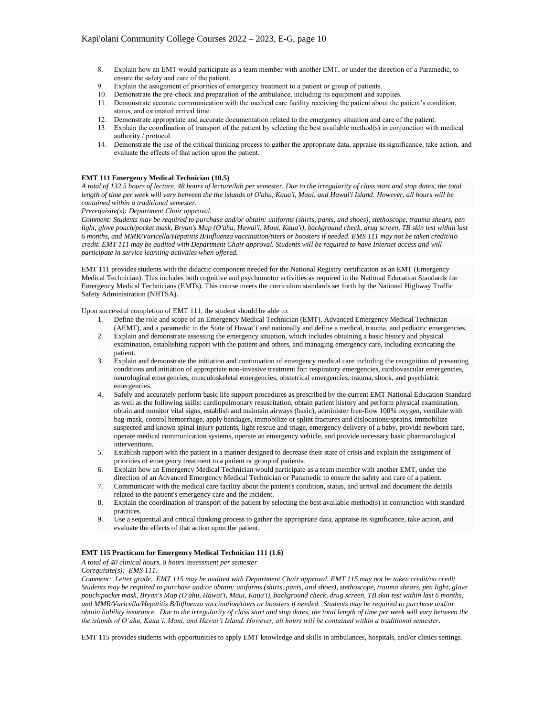- 8. Explain how an EMT would participate as a team member with another EMT, or under the direction of a Paramedic, to ensure the safety and care of the patient.
- 9. Explain the assignment of priorities of emergency treatment to a patient or group of patients.
- 10. Demonstrate the pre-check and preparation of the ambulance, including its equipment and supplies.
- 11. Demonstrate accurate communication with the medical care facility receiving the patient about the patient's condition, status, and estimated arrival time.
- 12. Demonstrate appropriate and accurate documentation related to the emergency situation and care of the patient.
- 13. Explain the coordination of transport of the patient by selecting the best available method(s) in conjunction with medical authority / protocol.
- 14. Demonstrate the use of the critical thinking process to gather the appropriate data, appraise its significance, take action, and evaluate the effects of that action upon the patient.

## **EMT 111 Emergency Medical Technician (10.5)**

*A total of 132.5 hours of lecture, 48 hours of lecture/lab per semester. Due to the irregularity of class start and stop dates, the total length of time per week will vary between the the islands of O'ahu, Kaua'i, Maui, and Hawai'i Island. However, all hours will be contained within a traditional semester.*

*Prerequisite(s): Department Chair approval.*

*Comment: Students may be required to purchase and/or obtain: uniforms (shirts, pants, and shoes), stethoscope, trauma shears, pen light, glove pouch/pocket mask, Bryan's Map (O'ahu, Hawai'i, Maui, Kaua'i), background check, drug screen, TB skin test within last 6 months, and MMR/Varicella/Hepatitis B/Influenza vaccination/titers or boosters if needed. EMS 111 may not be taken credit/no credit. EMT 111 may be audited with Department Chair approval. Students will be required to have Internet access and will participate in service learning activities when offered.* 

EMT 111 provides students with the didactic component needed for the National Registry certification as an EMT (Emergency Medical Technician). This includes both cognitive and psychomotor activities as required in the National Education Standards for Emergency Medical Technicians (EMTs). This course meets the curriculum standards set forth by the National Highway Traffic Safety Administration (NHTSA).

Upon successful completion of EMT 111, the student should be able to:

- 1. Define the role and scope of an Emergency Medical Technician (EMT), Advanced Emergency Medical Technician (AEMT), and a paramedic in the State of Hawai`i and nationally and define a medical, trauma, and pediatric emergencies.
- 2. Explain and demonstrate assessing the emergency situation, which includes obtaining a basic history and physical examination, establishing rapport with the patient and others, and managing emergency care, including extricating the patient.
- 3. Explain and demonstrate the initiation and continuation of emergency medical care including the recognition of presenting conditions and initiation of appropriate non-invasive treatment for: respiratory emergencies, cardiovascular emergencies, neurological emergencies, musculoskeletal emergencies, obstetrical emergencies, trauma, shock, and psychiatric emergencies.
- 4. Safely and accurately perform basic life support procedures as prescribed by the current EMT National Education Standard as well as the following skills: cardiopulmonary resuscitation, obtain patient history and perform physical examination, obtain and monitor vital signs, establish and maintain airways (basic), administer free-flow 100% oxygen, ventilate with bag-mask, control hemorrhage, apply bandages, immobilize or splint fractures and dislocations/sprains, immobilize suspected and known spinal injury patients, light rescue and triage, emergency delivery of a baby, provide newborn care, operate medical communication systems, operate an emergency vehicle, and provide necessary basic pharmacological interventions.
- 5. Establish rapport with the patient in a manner designed to decrease their state of crisis and explain the assignment of priorities of emergency treatment to a patient or group of patients.
- 6. Explain how an Emergency Medical Technician would participate as a team member with another EMT, under the direction of an Advanced Emergency Medical Technician or Paramedic to ensure the safety and care of a patient.
- 7. Communicate with the medical care facility about the patient's condition, status, and arrival and document the details related to the patient's emergency care and the incident.
- 8. Explain the coordination of transport of the patient by selecting the best available method(s) in conjunction with standard practices.
- 9. Use a sequential and critical thinking process to gather the appropriate data, appraise its significance, take action, and evaluate the effects of that action upon the patient.

## **EMT 115 Practicum for Emergency Medical Technician 111 (1.6)**

*A total of 40 clinical hours, 8 hours assessment per semester*

*Corequisite(s): EMS 111.*

*Comment: Letter grade. EMT 115 may be audited with Department Chair approval. EMT 115 may not be taken credit/no credit. Students may be required to purchase and/or obtain: uniforms (shirts, pants, and shoes), stethoscope, trauma shears, pen light, glove pouch/pocket mask, Bryan's Map (O'ahu, Hawai'i, Maui, Kaua'i), background check, drug screen, TB skin test within last 6 months, and MMR/Varicella/Hepatitis B/Influenza vaccination/titers or boosters if needed. Students may be required to purchase and/or obtain liability insurance. Due to the irregularity of class start and stop dates, the total length of time per week will vary between the the islands of O'ahu, Kaua'i, Maui, and Hawai'i Island. However, all hours will be contained within a traditional semester.*

EMT 115 provides students with opportunities to apply EMT knowledge and skills in ambulances, hospitals, and/or clinics settings.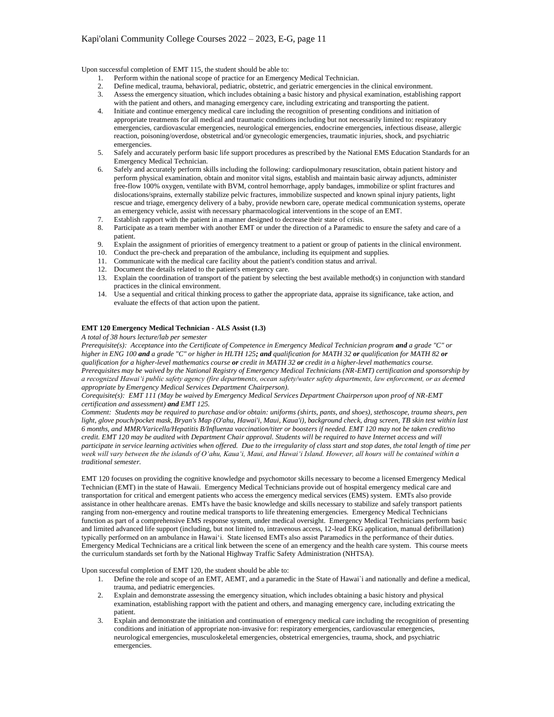Upon successful completion of EMT 115, the student should be able to:

- 1. Perform within the national scope of practice for an Emergency Medical Technician.
- 2. Define medical, trauma, behavioral, pediatric, obstetric, and geriatric emergencies in the clinical environment.
- 3. Assess the emergency situation, which includes obtaining a basic history and physical examination, establishing rapport with the patient and others, and managing emergency care, including extricating and transporting the patient.
- 4. Initiate and continue emergency medical care including the recognition of presenting conditions and initiation of appropriate treatments for all medical and traumatic conditions including but not necessarily limited to: respiratory emergencies, cardiovascular emergencies, neurological emergencies, endocrine emergencies, infectious disease, allergic reaction, poisoning/overdose, obstetrical and/or gynecologic emergencies, traumatic injuries, shock, and psychiatric emergencies.
- 5. Safely and accurately perform basic life support procedures as prescribed by the National EMS Education Standards for an Emergency Medical Technician.
- 6. Safely and accurately perform skills including the following: cardiopulmonary resuscitation, obtain patient history and perform physical examination, obtain and monitor vital signs, establish and maintain basic airway adjuncts, administer free-flow 100% oxygen, ventilate with BVM, control hemorrhage, apply bandages, immobilize or splint fractures and dislocations/sprains, externally stabilize pelvic fractures, immobilize suspected and known spinal injury patients, light rescue and triage, emergency delivery of a baby, provide newborn care, operate medical communication systems, operate an emergency vehicle, assist with necessary pharmacological interventions in the scope of an EMT.
- 7. Establish rapport with the patient in a manner designed to decrease their state of crisis.
- 8. Participate as a team member with another EMT or under the direction of a Paramedic to ensure the safety and care of a patient.
- Explain the assignment of priorities of emergency treatment to a patient or group of patients in the clinical environment.
- 9. Explain the assignment of priorities of emergency treatment to a patient or group or patients  $\mu_1$  10. Conduct the pre-check and preparation of the ambulance, including its equipment and supplies.
- 11. Communicate with the medical care facility about the patient's condition status and arrival.
- 12. Document the details related to the patient's emergency care.
- 13. Explain the coordination of transport of the patient by selecting the best available method(s) in conjunction with standard practices in the clinical environment.
- 14. Use a sequential and critical thinking process to gather the appropriate data, appraise its significance, take action, and evaluate the effects of that action upon the patient.

# **EMT 120 Emergency Medical Technician - ALS Assist (1.3)**

*A total of 38 hours lecture/lab per semester*

*Prerequisite(s): Acceptance into the Certificate of Competence in Emergency Medical Technician program and a grade "C" or higher in ENG 100 and a grade "C" or higher in HLTH 125; and qualification for MATH 32 or qualification for MATH 82 or qualification for a higher-level mathematics course or credit in MATH 32 or credit in a higher-level mathematics course. Prerequisites may be waived by the National Registry of Emergency Medical Technicians (NR-EMT) certification and sponsorship by a recognized Hawai'i public safety agency (fire departments, ocean safety/water safety departments, law enforcement, or as deemed appropriate by Emergency Medical Services Department Chairperson).*

*Corequisite(s): EMT 111 (May be waived by Emergency Medical Services Department Chairperson upon proof of NR-EMT certification and assessment) and EMT 125.*

*Comment: Students may be required to purchase and/or obtain: uniforms (shirts, pants, and shoes), stethoscope, trauma shears, pen light, glove pouch/pocket mask, Bryan's Map (O'ahu, Hawai'i, Maui, Kaua'i), background check, drug screen, TB skin test within last 6 months, and MMR/Varicella/Hepatitis B/Influenza vaccination/titer or boosters if needed. EMT 120 may not be taken credit/no*  credit. EMT 120 may be audited with Department Chair approval. Students will be required to have Internet access and will *participate in service learning activities when offered. Due to the irregularity of class start and stop dates, the total length of time per week will vary between the the islands of O'ahu, Kaua'i, Maui, and Hawai'i Island. However, all hours will be contained within a traditional semester.*

EMT 120 focuses on providing the cognitive knowledge and psychomotor skills necessary to become a licensed Emergency Medical Technician (EMT) in the state of Hawaii. Emergency Medical Technicians provide out of hospital emergency medical care and transportation for critical and emergent patients who access the emergency medical services (EMS) system. EMTs also provide assistance in other healthcare arenas. EMTs have the basic knowledge and skills necessary to stabilize and safely transport patients ranging from non-emergency and routine medical transports to life threatening emergencies. Emergency Medical Technicians function as part of a comprehensive EMS response system, under medical oversight. Emergency Medical Technicians perform basic and limited advanced life support (including, but not limited to, intravenous access, 12-lead EKG application, manual defibrillation) typically performed on an ambulance in Hawai'i. State licensed EMTs also assist Paramedics in the performance of their duties. Emergency Medical Technicians are a critical link between the scene of an emergency and the health care system. This course meets the curriculum standards set forth by the National Highway Traffic Safety Administration (NHTSA).

Upon successful completion of EMT 120, the student should be able to:

- 1. Define the role and scope of an EMT, AEMT, and a paramedic in the State of Hawai`i and nationally and define a medical, trauma, and pediatric emergencies.
- 2. Explain and demonstrate assessing the emergency situation, which includes obtaining a basic history and physical examination, establishing rapport with the patient and others, and managing emergency care, including extricating the patient.
- 3. Explain and demonstrate the initiation and continuation of emergency medical care including the recognition of presenting conditions and initiation of appropriate non-invasive for: respiratory emergencies, cardiovascular emergencies, neurological emergencies, musculoskeletal emergencies, obstetrical emergencies, trauma, shock, and psychiatric emergencies.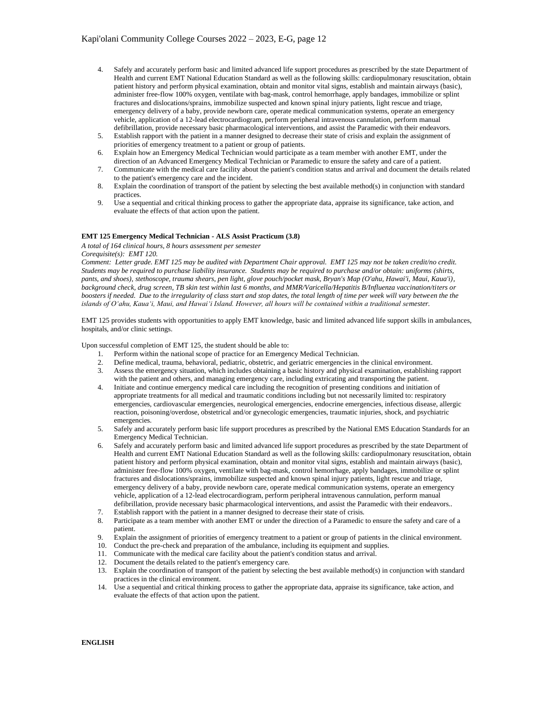- 4. Safely and accurately perform basic and limited advanced life support procedures as prescribed by the state Department of Health and current EMT National Education Standard as well as the following skills: cardiopulmonary resuscitation, obtain patient history and perform physical examination, obtain and monitor vital signs, establish and maintain airways (basic), administer free-flow 100% oxygen, ventilate with bag-mask, control hemorrhage, apply bandages, immobilize or splint fractures and dislocations/sprains, immobilize suspected and known spinal injury patients, light rescue and triage, emergency delivery of a baby, provide newborn care, operate medical communication systems, operate an emergency vehicle, application of a 12-lead electrocardiogram, perform peripheral intravenous cannulation, perform manual defibrillation, provide necessary basic pharmacological interventions, and assist the Paramedic with their endeavors.
- 5. Establish rapport with the patient in a manner designed to decrease their state of crisis and explain the assignment of priorities of emergency treatment to a patient or group of patients.
- 6. Explain how an Emergency Medical Technician would participate as a team member with another EMT, under the direction of an Advanced Emergency Medical Technician or Paramedic to ensure the safety and care of a patient.
- 7. Communicate with the medical care facility about the patient's condition status and arrival and document the details related to the patient's emergency care and the incident.
- 8. Explain the coordination of transport of the patient by selecting the best available method(s) in conjunction with standard practices.
- 9. Use a sequential and critical thinking process to gather the appropriate data, appraise its significance, take action, and evaluate the effects of that action upon the patient.

## **EMT 125 Emergency Medical Technician - ALS Assist Practicum (3.8)**

*A total of 164 clinical hours, 8 hours assessment per semester*

*Corequisite(s): EMT 120.*

*Comment: Letter grade. EMT 125 may be audited with Department Chair approval. EMT 125 may not be taken credit/no credit. Students may be required to purchase liability insurance. Students may be required to purchase and/or obtain: uniforms (shirts, pants, and shoes), stethoscope, trauma shears, pen light, glove pouch/pocket mask, Bryan's Map (O'ahu, Hawai'i, Maui, Kaua'i), background check, drug screen, TB skin test within last 6 months, and MMR/Varicella/Hepatitis B/Influenza vaccination/titers or boosters if needed. Due to the irregularity of class start and stop dates, the total length of time per week will vary between the the islands of O'ahu, Kaua'i, Maui, and Hawai'i Island. However, all hours will be contained within a traditional semester.*

EMT 125 provides students with opportunities to apply EMT knowledge, basic and limited advanced life support skills in ambulances, hospitals, and/or clinic settings.

Upon successful completion of EMT 125, the student should be able to:

- 1. Perform within the national scope of practice for an Emergency Medical Technician.
- 2. Define medical, trauma, behavioral, pediatric, obstetric, and geriatric emergencies in the clinical environment.
- 3. Assess the emergency situation, which includes obtaining a basic history and physical examination, establishing rapport with the patient and others, and managing emergency care, including extricating and transporting the patient.
- 4. Initiate and continue emergency medical care including the recognition of presenting conditions and initiation of appropriate treatments for all medical and traumatic conditions including but not necessarily limited to: respiratory emergencies, cardiovascular emergencies, neurological emergencies, endocrine emergencies, infectious disease, allergic reaction, poisoning/overdose, obstetrical and/or gynecologic emergencies, traumatic injuries, shock, and psychiatric emergencies.
- 5. Safely and accurately perform basic life support procedures as prescribed by the National EMS Education Standards for an Emergency Medical Technician.
- 6. Safely and accurately perform basic and limited advanced life support procedures as prescribed by the state Department of Health and current EMT National Education Standard as well as the following skills: cardiopulmonary resuscitation, obtain patient history and perform physical examination, obtain and monitor vital signs, establish and maintain airways (basic), administer free-flow 100% oxygen, ventilate with bag-mask, control hemorrhage, apply bandages, immobilize or splint fractures and dislocations/sprains, immobilize suspected and known spinal injury patients, light rescue and triage, emergency delivery of a baby, provide newborn care, operate medical communication systems, operate an emergency vehicle, application of a 12-lead electrocardiogram, perform peripheral intravenous cannulation, perform manual defibrillation, provide necessary basic pharmacological interventions, and assist the Paramedic with their endeavors..
- 7. Establish rapport with the patient in a manner designed to decrease their state of crisis.
- 8. Participate as a team member with another EMT or under the direction of a Paramedic to ensure the safety and care of a patient.
- 9. Explain the assignment of priorities of emergency treatment to a patient or group of patients in the clinical environment.
- 10. Conduct the pre-check and preparation of the ambulance, including its equipment and supplies.
- 11. Communicate with the medical care facility about the patient's condition status and arrival.
- 12. Document the details related to the patient's emergency care.
- 13. Explain the coordination of transport of the patient by selecting the best available method(s) in conjunction with standard practices in the clinical environment.
- 14. Use a sequential and critical thinking process to gather the appropriate data, appraise its significance, take action, and evaluate the effects of that action upon the patient.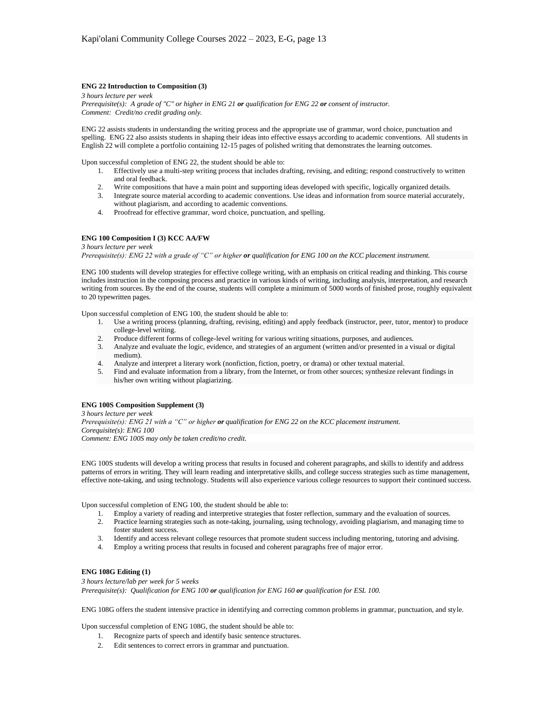## **ENG 22 Introduction to Composition (3)**

*3 hours lecture per week Prerequisite(s): A grade of "C" or higher in ENG 21 or qualification for ENG 22 or consent of instructor. Comment: Credit/no credit grading only.*

ENG 22 assists students in understanding the writing process and the appropriate use of grammar, word choice, punctuation and spelling. ENG 22 also assists students in shaping their ideas into effective essays according to academic conventions. All students in English 22 will complete a portfolio containing 12-15 pages of polished writing that demonstrates the learning outcomes.

Upon successful completion of ENG 22, the student should be able to:

- 1. Effectively use a multi-step writing process that includes drafting, revising, and editing; respond constructively to written and oral feedback.
- 2. Write compositions that have a main point and supporting ideas developed with specific, logically organized details.
- 3. Integrate source material according to academic conventions. Use ideas and information from source material accurately, without plagiarism, and according to academic conventions.
- 4. Proofread for effective grammar, word choice, punctuation, and spelling.

## **ENG 100 Composition I (3) KCC AA/FW**

*3 hours lecture per week Prerequisite(s): ENG 22 with a grade of "C" or higher or qualification for ENG 100 on the KCC placement instrument.*

ENG 100 students will develop strategies for effective college writing, with an emphasis on critical reading and thinking. This course includes instruction in the composing process and practice in various kinds of writing, including analysis, interpretation, and research writing from sources. By the end of the course, students will complete a minimum of 5000 words of finished prose, roughly equivalent to 20 typewritten pages.

Upon successful completion of ENG 100, the student should be able to:

- 1. Use a writing process (planning, drafting, revising, editing) and apply feedback (instructor, peer, tutor, mentor) to produce college-level writing.
- 2. Produce different forms of college-level writing for various writing situations, purposes, and audiences.
- 3. Analyze and evaluate the logic, evidence, and strategies of an argument (written and/or presented in a visual or digital medium).
- 4. Analyze and interpret a literary work (nonfiction, fiction, poetry, or drama) or other textual material.
- 5. Find and evaluate information from a library, from the Internet, or from other sources; synthesize relevant findings in his/her own writing without plagiarizing.

## **ENG 100S Composition Supplement (3)**

*3 hours lecture per week Prerequisite(s): ENG 21 with a "C" or higher or qualification for ENG 22 on the KCC placement instrument. Corequisite(s): ENG 100 Comment: ENG 100S may only be taken credit/no credit.*

ENG 100S students will develop a writing process that results in focused and coherent paragraphs, and skills to identify and address patterns of errors in writing. They will learn reading and interpretative skills, and college success strategies such as time management, effective note-taking, and using technology. Students will also experience various college resources to support their continued success.

Upon successful completion of ENG 100, the student should be able to:

- 1. Employ a variety of reading and interpretive strategies that foster reflection, summary and the evaluation of sources.
- 2. Practice learning strategies such as note-taking, journaling, using technology, avoiding plagiarism, and managing time to foster student success.
- 3. Identify and access relevant college resources that promote student success including mentoring, tutoring and advising.
- 4. Employ a writing process that results in focused and coherent paragraphs free of major error.

# **ENG 108G Editing (1)**

*3 hours lecture/lab per week for 5 weeks Prerequisite(s): Qualification for ENG 100 or qualification for ENG 160 or qualification for ESL 100.*

ENG 108G offers the student intensive practice in identifying and correcting common problems in grammar, punctuation, and style.

Upon successful completion of ENG 108G, the student should be able to:

- 1. Recognize parts of speech and identify basic sentence structures.
- 2. Edit sentences to correct errors in grammar and punctuation.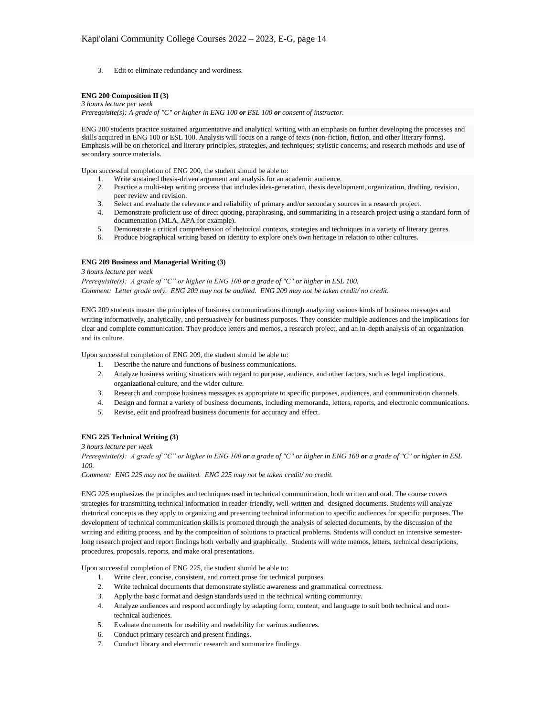3. Edit to eliminate redundancy and wordiness.

# **ENG 200 Composition II (3)**

## *3 hours lecture per week*

*Prerequisite(s): A grade of "C" or higher in ENG 100 or ESL 100 or consent of instructor.*

ENG 200 students practice sustained argumentative and analytical writing with an emphasis on further developing the processes and skills acquired in ENG 100 or ESL 100. Analysis will focus on a range of texts (non-fiction, fiction, and other literary forms). Emphasis will be on rhetorical and literary principles, strategies, and techniques; stylistic concerns; and research methods and use of secondary source materials.

Upon successful completion of ENG 200, the student should be able to:

- Write sustained thesis-driven argument and analysis for an academic audience.
- 2. Practice a multi-step writing process that includes idea-generation, thesis development, organization, drafting, revision, peer review and revision.
- 3. Select and evaluate the relevance and reliability of primary and/or secondary sources in a research project.
- 4. Demonstrate proficient use of direct quoting, paraphrasing, and summarizing in a research project using a standard form of documentation (MLA, APA for example).
- 5. Demonstrate a critical comprehension of rhetorical contexts, strategies and techniques in a variety of literary genres.
- 6. Produce biographical writing based on identity to explore one's own heritage in relation to other cultures.

## **ENG 209 Business and Managerial Writing (3)**

*3 hours lecture per week*

*Prerequisite(s): A grade of "C" or higher in ENG 100 or a grade of "C" or higher in ESL 100. Comment: Letter grade only. ENG 209 may not be audited. ENG 209 may not be taken credit/ no credit.*

ENG 209 students master the principles of business communications through analyzing various kinds of business messages and writing informatively, analytically, and persuasively for business purposes. They consider multiple audiences and the implications for clear and complete communication. They produce letters and memos, a research project, and an in-depth analysis of an organization and its culture.

Upon successful completion of ENG 209, the student should be able to:

- 1. Describe the nature and functions of business communications.
- 2. Analyze business writing situations with regard to purpose, audience, and other factors, such as legal implications, organizational culture, and the wider culture.
- 3. Research and compose business messages as appropriate to specific purposes, audiences, and communication channels.
- 4. Design and format a variety of business documents, including memoranda, letters, reports, and electronic communications.
- 5. Revise, edit and proofread business documents for accuracy and effect.

## **ENG 225 Technical Writing (3)**

## *3 hours lecture per week*

*Prerequisite(s): A grade of "C" or higher in ENG 100 or a grade of "C" or higher in ENG 160 or a grade of "C" or higher in ESL 100.*

*Comment: ENG 225 may not be audited. ENG 225 may not be taken credit/ no credit.*

ENG 225 emphasizes the principles and techniques used in technical communication, both written and oral. The course covers strategies for transmitting technical information in reader-friendly, well-written and -designed documents. Students will analyze rhetorical concepts as they apply to organizing and presenting technical information to specific audiences for specific purposes. The development of technical communication skills is promoted through the analysis of selected documents, by the discussion of the writing and editing process, and by the composition of solutions to practical problems. Students will conduct an intensive semesterlong research project and report findings both verbally and graphically. Students will write memos, letters, technical descriptions, procedures, proposals, reports, and make oral presentations.

Upon successful completion of ENG 225, the student should be able to:

- 1. Write clear, concise, consistent, and correct prose for technical purposes.
- 2. Write technical documents that demonstrate stylistic awareness and grammatical correctness.
- 3. Apply the basic format and design standards used in the technical writing community.
- 4. Analyze audiences and respond accordingly by adapting form, content, and language to suit both technical and nontechnical audiences.
- 5. Evaluate documents for usability and readability for various audiences.
- 6. Conduct primary research and present findings.
- 7. Conduct library and electronic research and summarize findings.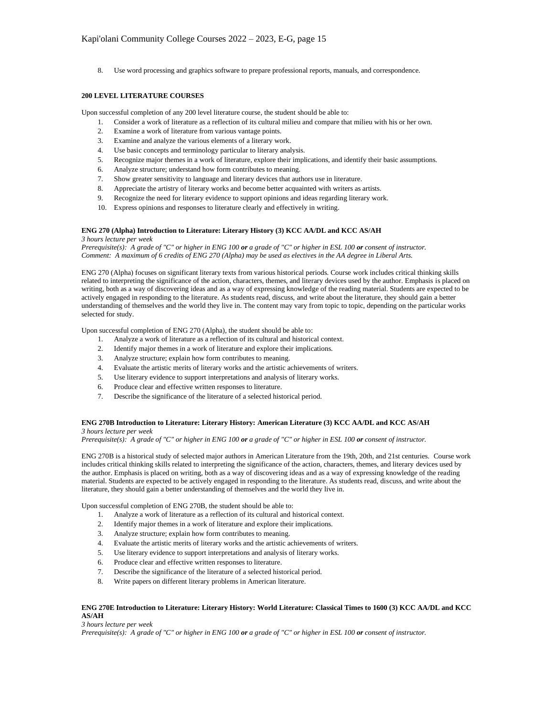8. Use word processing and graphics software to prepare professional reports, manuals, and correspondence.

# **200 LEVEL LITERATURE COURSES**

Upon successful completion of any 200 level literature course, the student should be able to:

- 1. Consider a work of literature as a reflection of its cultural milieu and compare that milieu with his or her own.
- 2. Examine a work of literature from various vantage points.
- 3. Examine and analyze the various elements of a literary work.
- 4. Use basic concepts and terminology particular to literary analysis.
- 5. Recognize major themes in a work of literature, explore their implications, and identify their basic assumptions.
- 6. Analyze structure; understand how form contributes to meaning.
- 7. Show greater sensitivity to language and literary devices that authors use in literature.
- 8. Appreciate the artistry of literary works and become better acquainted with writers as artists.
- 9. Recognize the need for literary evidence to support opinions and ideas regarding literary work.
- 10. Express opinions and responses to literature clearly and effectively in writing.

## **ENG 270 (Alpha) Introduction to Literature: Literary History (3) KCC AA/DL and KCC AS/AH**

## *3 hours lecture per week*

*Prerequisite(s): A grade of "C" or higher in ENG 100 or a grade of "C" or higher in ESL 100 or consent of instructor. Comment: A maximum of 6 credits of ENG 270 (Alpha) may be used as electives in the AA degree in Liberal Arts.*

ENG 270 (Alpha) focuses on significant literary texts from various historical periods. Course work includes critical thinking skills related to interpreting the significance of the action, characters, themes, and literary devices used by the author. Emphasis is placed on writing, both as a way of discovering ideas and as a way of expressing knowledge of the reading material. Students are expected to be actively engaged in responding to the literature. As students read, discuss, and write about the literature, they should gain a better understanding of themselves and the world they live in. The content may vary from topic to topic, depending on the particular works selected for study.

Upon successful completion of ENG 270 (Alpha), the student should be able to:

- 1. Analyze a work of literature as a reflection of its cultural and historical context.
- 2. Identify major themes in a work of literature and explore their implications.
- 3. Analyze structure; explain how form contributes to meaning.
- 4. Evaluate the artistic merits of literary works and the artistic achievements of writers.
- 5. Use literary evidence to support interpretations and analysis of literary works.
- 6. Produce clear and effective written responses to literature.
- 7. Describe the significance of the literature of a selected historical period.

#### **ENG 270B Introduction to Literature: Literary History: American Literature (3) KCC AA/DL and KCC AS/AH** *3 hours lecture per week*

*Prerequisite(s): A grade of "C" or higher in ENG 100 or a grade of "C" or higher in ESL 100 or consent of instructor.*

ENG 270B is a historical study of selected major authors in American Literature from the 19th, 20th, and 21st centuries. Course work includes critical thinking skills related to interpreting the significance of the action, characters, themes, and literary devices used by the author. Emphasis is placed on writing, both as a way of discovering ideas and as a way of expressing knowledge of the reading material. Students are expected to be actively engaged in responding to the literature. As students read, discuss, and write about the literature, they should gain a better understanding of themselves and the world they live in.

Upon successful completion of ENG 270B, the student should be able to:

- 1. Analyze a work of literature as a reflection of its cultural and historical context.
- 2. Identify major themes in a work of literature and explore their implications.
- 3. Analyze structure; explain how form contributes to meaning.
- 4. Evaluate the artistic merits of literary works and the artistic achievements of writers.
- 5. Use literary evidence to support interpretations and analysis of literary works.
- 6. Produce clear and effective written responses to literature.
- 7. Describe the significance of the literature of a selected historical period.
- 8. Write papers on different literary problems in American literature.

# **ENG 270E Introduction to Literature: Literary History: World Literature: Classical Times to 1600 (3) KCC AA/DL and KCC AS/AH**

*3 hours lecture per week*

*Prerequisite(s): A grade of "C" or higher in ENG 100 or a grade of "C" or higher in ESL 100 or consent of instructor.*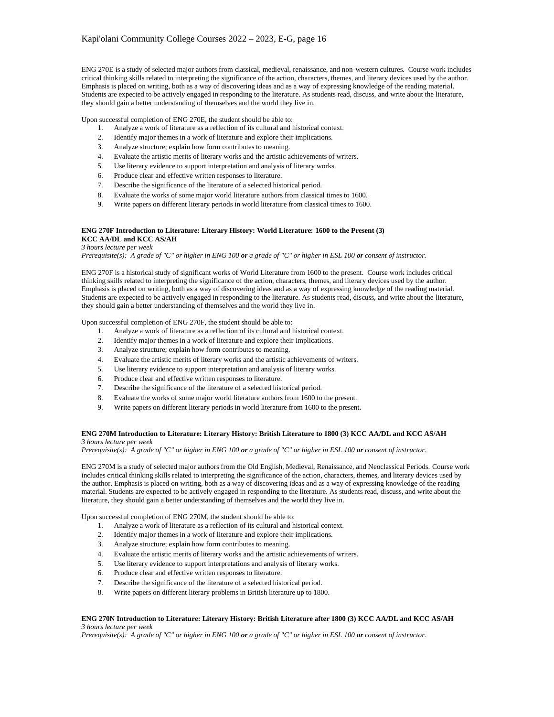ENG 270E is a study of selected major authors from classical, medieval, renaissance, and non-western cultures. Course work includes critical thinking skills related to interpreting the significance of the action, characters, themes, and literary devices used by the author. Emphasis is placed on writing, both as a way of discovering ideas and as a way of expressing knowledge of the reading material. Students are expected to be actively engaged in responding to the literature. As students read, discuss, and write about the literature, they should gain a better understanding of themselves and the world they live in.

Upon successful completion of ENG 270E, the student should be able to:

- 1. Analyze a work of literature as a reflection of its cultural and historical context.
- 2. Identify major themes in a work of literature and explore their implications.
- 3. Analyze structure; explain how form contributes to meaning.
- 4. Evaluate the artistic merits of literary works and the artistic achievements of writers.
- 5. Use literary evidence to support interpretation and analysis of literary works.
- 6. Produce clear and effective written responses to literature.
- 7. Describe the significance of the literature of a selected historical period.
- 8. Evaluate the works of some major world literature authors from classical times to 1600.
- 9. Write papers on different literary periods in world literature from classical times to 1600.

## **ENG 270F Introduction to Literature: Literary History: World Literature: 1600 to the Present (3) KCC AA/DL and KCC AS/AH**

*3 hours lecture per week*

*Prerequisite(s): A grade of "C" or higher in ENG 100 or a grade of "C" or higher in ESL 100 or consent of instructor.*

ENG 270F is a historical study of significant works of World Literature from 1600 to the present. Course work includes critical thinking skills related to interpreting the significance of the action, characters, themes, and literary devices used by the author. Emphasis is placed on writing, both as a way of discovering ideas and as a way of expressing knowledge of the reading material. Students are expected to be actively engaged in responding to the literature. As students read, discuss, and write about the literature, they should gain a better understanding of themselves and the world they live in.

Upon successful completion of ENG 270F, the student should be able to:

- 1. Analyze a work of literature as a reflection of its cultural and historical context.
- 2. Identify major themes in a work of literature and explore their implications.
- 3. Analyze structure; explain how form contributes to meaning.
- 4. Evaluate the artistic merits of literary works and the artistic achievements of writers.
- 5. Use literary evidence to support interpretation and analysis of literary works.
- 6. Produce clear and effective written responses to literature.
- 7. Describe the significance of the literature of a selected historical period.
- 8. Evaluate the works of some major world literature authors from 1600 to the present.
- 9. Write papers on different literary periods in world literature from 1600 to the present.

## **ENG 270M Introduction to Literature: Literary History: British Literature to 1800 (3) KCC AA/DL and KCC AS/AH** *3 hours lecture per week*

*Prerequisite(s): A grade of "C" or higher in ENG 100 or a grade of "C" or higher in ESL 100 or consent of instructor.*

ENG 270M is a study of selected major authors from the Old English, Medieval, Renaissance, and Neoclassical Periods. Course work includes critical thinking skills related to interpreting the significance of the action, characters, themes, and literary devices used by the author. Emphasis is placed on writing, both as a way of discovering ideas and as a way of expressing knowledge of the reading material. Students are expected to be actively engaged in responding to the literature. As students read, discuss, and write about the literature, they should gain a better understanding of themselves and the world they live in.

Upon successful completion of ENG 270M, the student should be able to:

- 1. Analyze a work of literature as a reflection of its cultural and historical context.
- 2. Identify major themes in a work of literature and explore their implications.
- 3. Analyze structure; explain how form contributes to meaning.
- 4. Evaluate the artistic merits of literary works and the artistic achievements of writers.
- 5. Use literary evidence to support interpretations and analysis of literary works.
- 6. Produce clear and effective written responses to literature.
- 7. Describe the significance of the literature of a selected historical period.
- 8. Write papers on different literary problems in British literature up to 1800.

## **ENG 270N Introduction to Literature: Literary History: British Literature after 1800 (3) KCC AA/DL and KCC AS/AH** *3 hours lecture per week*

*Prerequisite(s): A grade of "C" or higher in ENG 100 or a grade of "C" or higher in ESL 100 or consent of instructor.*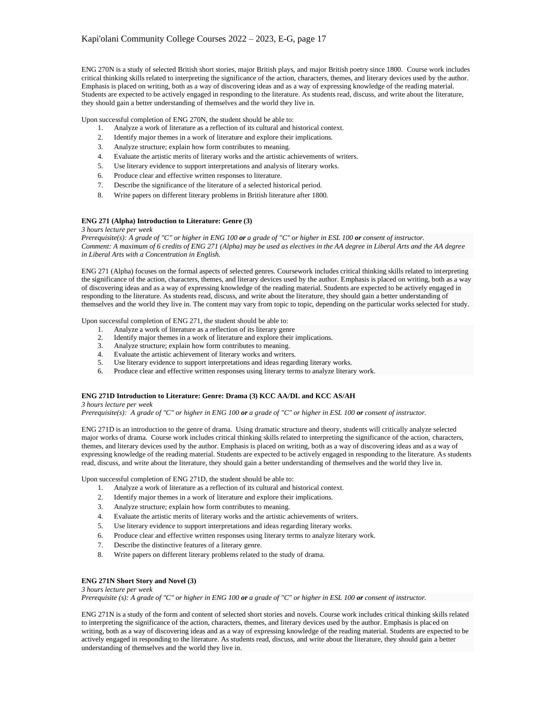ENG 270N is a study of selected British short stories, major British plays, and major British poetry since 1800. Course work includes critical thinking skills related to interpreting the significance of the action, characters, themes, and literary devices used by the author. Emphasis is placed on writing, both as a way of discovering ideas and as a way of expressing knowledge of the reading material. Students are expected to be actively engaged in responding to the literature. As students read, discuss, and write about the literature, they should gain a better understanding of themselves and the world they live in.

Upon successful completion of ENG 270N, the student should be able to:

- 1. Analyze a work of literature as a reflection of its cultural and historical context.
- 2. Identify major themes in a work of literature and explore their implications.
- 3. Analyze structure; explain how form contributes to meaning.
- 4. Evaluate the artistic merits of literary works and the artistic achievements of writers.
- 5. Use literary evidence to support interpretations and analysis of literary works.
- 6. Produce clear and effective written responses to literature.
- 7. Describe the significance of the literature of a selected historical period.
- 8. Write papers on different literary problems in British literature after 1800.

## **ENG 271 (Alpha) Introduction to Literature: Genre (3)**

*3 hours lecture per week*

*Prerequisite(s): A grade of "C" or higher in ENG 100 or a grade of "C" or higher in ESL 100 or consent of instructor. Comment: A maximum of 6 credits of ENG 271 (Alpha) may be used as electives in the AA degree in Liberal Arts and the AA degree in Liberal Arts with a Concentration in English.*

ENG 271 (Alpha) focuses on the formal aspects of selected genres. Coursework includes critical thinking skills related to interpreting the significance of the action, characters, themes, and literary devices used by the author. Emphasis is placed on writing, both as a way of discovering ideas and as a way of expressing knowledge of the reading material. Students are expected to be actively engaged in responding to the literature. As students read, discuss, and write about the literature, they should gain a better understanding of themselves and the world they live in. The content may vary from topic to topic, depending on the particular works selected for study.

Upon successful completion of ENG 271, the student should be able to:

- 1. Analyze a work of literature as a reflection of its literary genre
- 2. Identify major themes in a work of literature and explore their implications.
- 3. Analyze structure; explain how form contributes to meaning.
- 4. Evaluate the artistic achievement of literary works and writers.
- 5. Use literary evidence to support interpretations and ideas regarding literary works.
- 6. Produce clear and effective written responses using literary terms to analyze literary work.

#### **ENG 271D Introduction to Literature: Genre: Drama (3) KCC AA/DL and KCC AS/AH**

*3 hours lecture per week*

*Prerequisite(s): A grade of "C" or higher in ENG 100 or a grade of "C" or higher in ESL 100 or consent of instructor.*

ENG 271D is an introduction to the genre of drama. Using dramatic structure and theory, students will critically analyze selected major works of drama. Course work includes critical thinking skills related to interpreting the significance of the action, characters, themes, and literary devices used by the author. Emphasis is placed on writing, both as a way of discovering ideas and as a way of expressing knowledge of the reading material. Students are expected to be actively engaged in responding to the literature. As students read, discuss, and write about the literature, they should gain a better understanding of themselves and the world they live in.

Upon successful completion of ENG 271D, the student should be able to:

- 1. Analyze a work of literature as a reflection of its cultural and historical context.
- 2. Identify major themes in a work of literature and explore their implications.
- 3. Analyze structure; explain how form contributes to meaning.
- 4. Evaluate the artistic merits of literary works and the artistic achievements of writers.
- 5. Use literary evidence to support interpretations and ideas regarding literary works.
- 6. Produce clear and effective written responses using literary terms to analyze literary work.
- 7. Describe the distinctive features of a literary genre.
- 8. Write papers on different literary problems related to the study of drama.

# **ENG 271N Short Story and Novel (3)**

*3 hours lecture per week Prerequisite (s): A grade of "C" or higher in ENG 100 or a grade of "C" or higher in ESL 100 or consent of instructor.*

ENG 271N is a study of the form and content of selected short stories and novels. Course work includes critical thinking skills related to interpreting the significance of the action, characters, themes, and literary devices used by the author. Emphasis is placed on writing, both as a way of discovering ideas and as a way of expressing knowledge of the reading material. Students are expected to be actively engaged in responding to the literature. As students read, discuss, and write about the literature, they should gain a better understanding of themselves and the world they live in.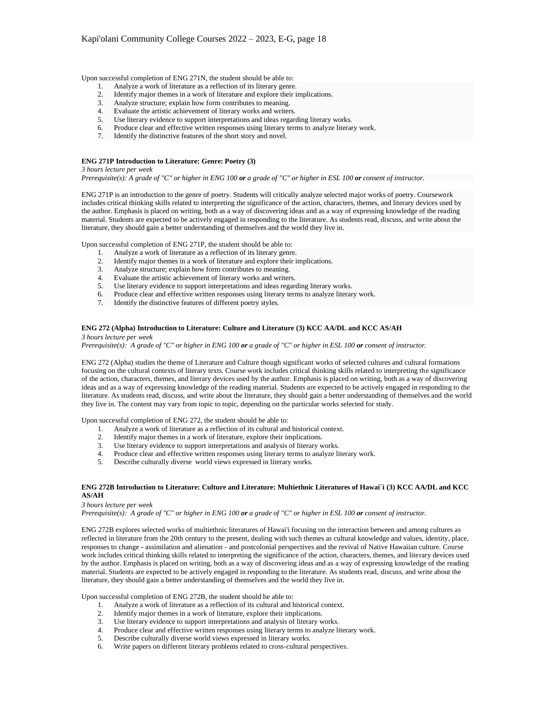Upon successful completion of ENG 271N, the student should be able to:

- 1. Analyze a work of literature as a reflection of its literary genre.
- 2. Identify major themes in a work of literature and explore their implications.
- 3. Analyze structure; explain how form contributes to meaning.
- 4. Evaluate the artistic achievement of literary works and writers.
- 5. Use literary evidence to support interpretations and ideas regarding literary works.
- 6. Produce clear and effective written responses using literary terms to analyze literary work.
- 7. Identify the distinctive features of the short story and novel.

# **ENG 271P Introduction to Literature: Genre: Poetry (3)**

*3 hours lecture per week*

*Prerequisite(s): A grade of "C" or higher in ENG 100 or a grade of "C" or higher in ESL 100 or consent of instructor.*

ENG 271P is an introduction to the genre of poetry. Students will critically analyze selected major works of poetry. Coursework includes critical thinking skills related to interpreting the significance of the action, characters, themes, and literary devices used by the author. Emphasis is placed on writing, both as a way of discovering ideas and as a way of expressing knowledge of the reading material. Students are expected to be actively engaged in responding to the literature. As students read, discuss, and write about the literature, they should gain a better understanding of themselves and the world they live in.

Upon successful completion of ENG 271P, the student should be able to:

- 1. Analyze a work of literature as a reflection of its literary genre.
- 2. Identify major themes in a work of literature and explore their implications.
- 3. Analyze structure; explain how form contributes to meaning.
- 4. Evaluate the artistic achievement of literary works and writers.
- 5. Use literary evidence to support interpretations and ideas regarding literary works.
- 6. Produce clear and effective written responses using literary terms to analyze literary work.
- 7. Identify the distinctive features of different poetry styles.

## **ENG 272 (Alpha) Introduction to Literature: Culture and Literature (3) KCC AA/DL and KCC AS/AH**

#### *3 hours lecture per week*

*Prerequisite(s): A grade of "C" or higher in ENG 100 or a grade of "C" or higher in ESL 100 or consent of instructor.*

ENG 272 (Alpha) studies the theme of Literature and Culture though significant works of selected cultures and cultural formations focusing on the cultural contexts of literary texts. Course work includes critical thinking skills related to interpreting the significance of the action, characters, themes, and literary devices used by the author. Emphasis is placed on writing, both as a way of discovering ideas and as a way of expressing knowledge of the reading material. Students are expected to be actively engaged in responding to the literature. As students read, discuss, and write about the literature, they should gain a better understanding of themselves and the world they live in. The content may vary from topic to topic, depending on the particular works selected for study.

Upon successful completion of ENG 272, the student should be able to:

- 1. Analyze a work of literature as a reflection of its cultural and historical context.
- 2. Identify major themes in a work of literature, explore their implications.
- 3. Use literary evidence to support interpretations and analysis of literary works.
- 4. Produce clear and effective written responses using literary terms to analyze literary work.<br>5. Describe culturally diverse world views expressed in literary works.
- Describe culturally diverse world views expressed in literary works.

### **ENG 272B Introduction to Literature: Culture and Literature: Multiethnic Literatures of Hawai`i (3) KCC AA/DL and KCC AS/AH**

*3 hours lecture per week*

*Prerequisite(s): A grade of "C" or higher in ENG 100 or a grade of "C" or higher in ESL 100 or consent of instructor.*

ENG 272B explores selected works of multiethnic literatures of Hawai'i focusing on the interaction between and among cultures as reflected in literature from the 20th century to the present, dealing with such themes as cultural knowledge and values, identity, place, responses to change - assimilation and alienation - and postcolonial perspectives and the revival of Native Hawaiian culture. Course work includes critical thinking skills related to interpreting the significance of the action, characters, themes, and literary devices used by the author. Emphasis is placed on writing, both as a way of discovering ideas and as a way of expressing knowledge of the reading material. Students are expected to be actively engaged in responding to the literature. As students read, discuss, and write about the literature, they should gain a better understanding of themselves and the world they live in.

Upon successful completion of ENG 272B, the student should be able to:

- 1. Analyze a work of literature as a reflection of its cultural and historical context.
- 2. Identify major themes in a work of literature, explore their implications.<br>
2. Use literary evidence to support interpretations and analysis of literary w
- Use literary evidence to support interpretations and analysis of literary works.
- 2. Exercisely evidence to support interpretations and analyzes of netary works.<br>4. Produce clear and effective written responses using literary terms to analyze literary work.
- 5. Describe culturally diverse world views expressed in literary works.
- 6. Write papers on different literary problems related to cross-cultural perspectives.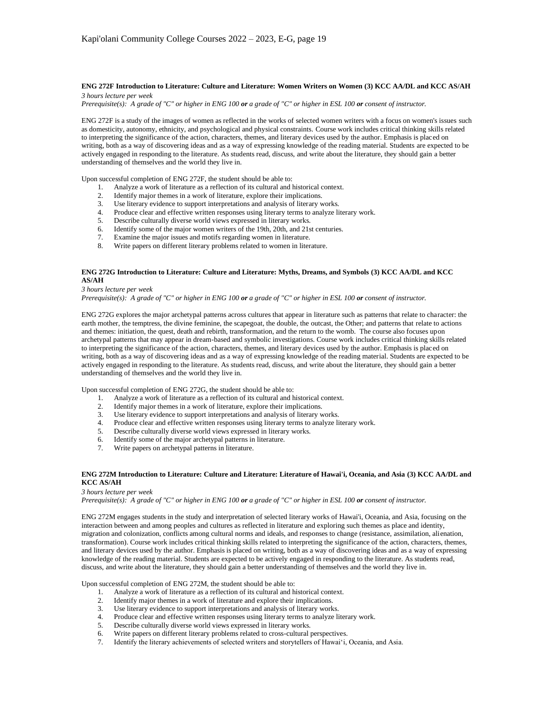## **ENG 272F Introduction to Literature: Culture and Literature: Women Writers on Women (3) KCC AA/DL and KCC AS/AH** *3 hours lecture per week*

*Prerequisite(s): A grade of "C" or higher in ENG 100 or a grade of "C" or higher in ESL 100 or consent of instructor.*

ENG 272F is a study of the images of women as reflected in the works of selected women writers with a focus on women's issues such as domesticity, autonomy, ethnicity, and psychological and physical constraints. Course work includes critical thinking skills related to interpreting the significance of the action, characters, themes, and literary devices used by the author. Emphasis is placed on writing, both as a way of discovering ideas and as a way of expressing knowledge of the reading material. Students are expected to be actively engaged in responding to the literature. As students read, discuss, and write about the literature, they should gain a better understanding of themselves and the world they live in.

Upon successful completion of ENG 272F, the student should be able to:

- 1. Analyze a work of literature as a reflection of its cultural and historical context.
- 2. Identify major themes in a work of literature, explore their implications.
- 3. Use literary evidence to support interpretations and analysis of literary works.
- 4. Produce clear and effective written responses using literary terms to analyze literary work.<br>5. Describe culturally diverse world views expressed in literary works.
- 5. Describe culturally diverse world views expressed in literary works.
- 6. Identify some of the major women writers of the 19th, 20th, and 21st centuries.
- 7. Examine the major issues and motifs regarding women in literature.
- 8. Write papers on different literary problems related to women in literature.

## **ENG 272G Introduction to Literature: Culture and Literature: Myths, Dreams, and Symbols (3) KCC AA/DL and KCC AS/AH**

*3 hours lecture per week*

*Prerequisite(s): A grade of "C" or higher in ENG 100 or a grade of "C" or higher in ESL 100 or consent of instructor.*

ENG 272G explores the major archetypal patterns across cultures that appear in literature such as patterns that relate to character: the earth mother, the temptress, the divine feminine, the scapegoat, the double, the outcast, the Other; and patterns that relate to actions and themes: initiation, the quest, death and rebirth, transformation, and the return to the womb. The course also focuses upon archetypal patterns that may appear in dream-based and symbolic investigations. Course work includes critical thinking skills related to interpreting the significance of the action, characters, themes, and literary devices used by the author. Emphasis is placed on writing, both as a way of discovering ideas and as a way of expressing knowledge of the reading material. Students are expected to be actively engaged in responding to the literature. As students read, discuss, and write about the literature, they should gain a better understanding of themselves and the world they live in.

Upon successful completion of ENG 272G, the student should be able to:

- 1. Analyze a work of literature as a reflection of its cultural and historical context.
- 2. Identify major themes in a work of literature, explore their implications.
- 3. Use literary evidence to support interpretations and analysis of literary works.
- 4. Produce clear and effective written responses using literary terms to analyze literary work.
- 5. Describe culturally diverse world views expressed in literary works.
- 6. Identify some of the major archetypal patterns in literature.
- 7. Write papers on archetypal patterns in literature.

## **ENG 272M Introduction to Literature: Culture and Literature: Literature of Hawai'i, Oceania, and Asia (3) KCC AA/DL and KCC AS/AH**

### *3 hours lecture per week*

*Prerequisite(s): A grade of "C" or higher in ENG 100 or a grade of "C" or higher in ESL 100 or consent of instructor.*

ENG 272M engages students in the study and interpretation of selected literary works of Hawai'i, Oceania, and Asia, focusing on the interaction between and among peoples and cultures as reflected in literature and exploring such themes as place and identity, migration and colonization, conflicts among cultural norms and ideals, and responses to change (resistance, assimilation, alienation, transformation). Course work includes critical thinking skills related to interpreting the significance of the action, characters, themes, and literary devices used by the author. Emphasis is placed on writing, both as a way of discovering ideas and as a way of expressing knowledge of the reading material. Students are expected to be actively engaged in responding to the literature. As students read, discuss, and write about the literature, they should gain a better understanding of themselves and the world they live in.

Upon successful completion of ENG 272M, the student should be able to:

- 1. Analyze a work of literature as a reflection of its cultural and historical context.
- 2. Identify major themes in a work of literature and explore their implications.
- 3. Use literary evidence to support interpretations and analysis of literary works.
- 4. Produce clear and effective written responses using literary terms to analyze literary work.
- 5. Describe culturally diverse world views expressed in literary works.
- 6. Write papers on different literary problems related to cross-cultural perspectives.
- 7. Identify the literary achievements of selected writers and storytellers of Hawai'i, Oceania, and Asia.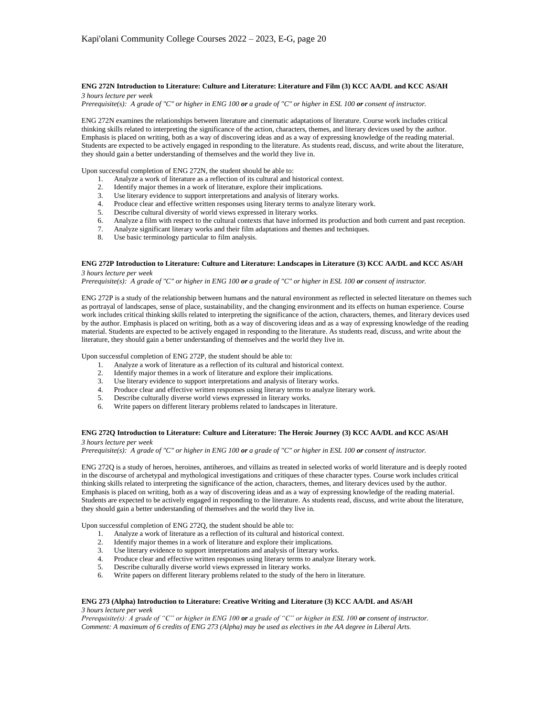#### **ENG 272N Introduction to Literature: Culture and Literature: Literature and Film (3) KCC AA/DL and KCC AS/AH** *3 hours lecture per week*

*Prerequisite(s): A grade of "C" or higher in ENG 100 or a grade of "C" or higher in ESL 100 or consent of instructor.*

ENG 272N examines the relationships between literature and cinematic adaptations of literature. Course work includes critical thinking skills related to interpreting the significance of the action, characters, themes, and literary devices used by the author. Emphasis is placed on writing, both as a way of discovering ideas and as a way of expressing knowledge of the reading material. Students are expected to be actively engaged in responding to the literature. As students read, discuss, and write about the literature, they should gain a better understanding of themselves and the world they live in.

Upon successful completion of ENG 272N, the student should be able to:

- 1. Analyze a work of literature as a reflection of its cultural and historical context.<br>2. Identify maior themes in a work of literature, explore their implications.
- Identify major themes in a work of literature, explore their implications.
- 3. Use literary evidence to support interpretations and analysis of literary works.
- 4. Produce clear and effective written responses using literary terms to analyze literary work.
- 5. Describe cultural diversity of world views expressed in literary works.
- 6. Analyze a film with respect to the cultural contexts that have informed its production and both current and past reception.
- 7. Analyze significant literary works and their film adaptations and themes and techniques.
- 8. Use basic terminology particular to film analysis.

## **ENG 272P Introduction to Literature: Culture and Literature: Landscapes in Literature (3) KCC AA/DL and KCC AS/AH** *3 hours lecture per week*

*Prerequisite(s): A grade of "C" or higher in ENG 100 or a grade of "C" or higher in ESL 100 or consent of instructor.*

ENG 272P is a study of the relationship between humans and the natural environment as reflected in selected literature on themes such as portrayal of landscapes, sense of place, sustainability, and the changing environment and its effects on human experience. Course work includes critical thinking skills related to interpreting the significance of the action, characters, themes, and literary devices used by the author. Emphasis is placed on writing, both as a way of discovering ideas and as a way of expressing knowledge of the reading material. Students are expected to be actively engaged in responding to the literature. As students read, discuss, and write about the literature, they should gain a better understanding of themselves and the world they live in.

Upon successful completion of ENG 272P, the student should be able to:

- 1. Analyze a work of literature as a reflection of its cultural and historical context.
- 2. Identify major themes in a work of literature and explore their implications.
- 2. Identity inajor urefus in a work of interpretations and analysis of literary works.<br>3. Use literary evidence to support interpretations and analysis of literary works.
- 4. Produce clear and effective written responses using literary terms to analyze literary work.
- 5. Describe culturally diverse world views expressed in literary works.
- 6. Write papers on different literary problems related to landscapes in literature.

## **ENG 272Q Introduction to Literature: Culture and Literature: The Heroic Journey (3) KCC AA/DL and KCC AS/AH** *3 hours lecture per week*

*Prerequisite(s): A grade of "C" or higher in ENG 100 or a grade of "C" or higher in ESL 100 or consent of instructor.*

ENG 272Q is a study of heroes, heroines, antiheroes, and villains as treated in selected works of world literature and is deeply rooted in the discourse of archetypal and mythological investigations and critiques of these character types. Course work includes critical thinking skills related to interpreting the significance of the action, characters, themes, and literary devices used by the author. Emphasis is placed on writing, both as a way of discovering ideas and as a way of expressing knowledge of the reading material. Students are expected to be actively engaged in responding to the literature. As students read, discuss, and write about the literature, they should gain a better understanding of themselves and the world they live in.

Upon successful completion of ENG 272Q, the student should be able to:

- 1. Analyze a work of literature as a reflection of its cultural and historical context.
- 2. Identify major themes in a work of literature and explore their implications.
- 
- 3. Use literary evidence to support interpretations and analysis of literary works. 4. Produce clear and effective written responses using literary terms to analyze literary work.<br>5. Describe culturally diverse world views expressed in literary works.
- 5. Describe culturally diverse world views expressed in literary works.
- 6. Write papers on different literary problems related to the study of the hero in literature.

## **ENG 273 (Alpha) Introduction to Literature: Creative Writing and Literature (3) KCC AA/DL and AS/AH** *3 hours lecture per week*

*Prerequisite(s): A grade of "C" or higher in ENG 100 or a grade of "C" or higher in ESL 100 or consent of instructor. Comment: A maximum of 6 credits of ENG 273 (Alpha) may be used as electives in the AA degree in Liberal Arts.*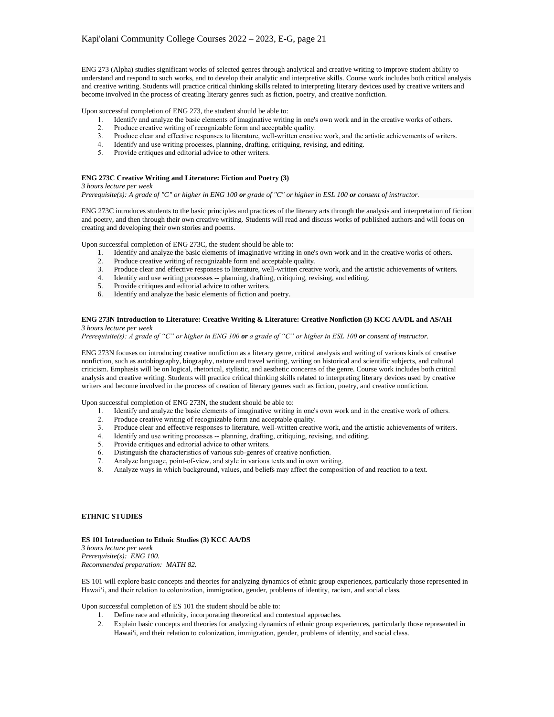ENG 273 (Alpha) studies significant works of selected genres through analytical and creative writing to improve student ability to understand and respond to such works, and to develop their analytic and interpretive skills. Course work includes both critical analysis and creative writing. Students will practice critical thinking skills related to interpreting literary devices used by creative writers and become involved in the process of creating literary genres such as fiction, poetry, and creative nonfiction.

Upon successful completion of ENG 273, the student should be able to:

- 1. Identify and analyze the basic elements of imaginative writing in one's own work and in the creative works of others.
- 2. Produce creative writing of recognizable form and acceptable quality.
- 3. Produce clear and effective responses to literature, well-written creative work, and the artistic achievements of writers.
- 4. Identify and use writing processes, planning, drafting, critiquing, revising, and editing.
- 5. Provide critiques and editorial advice to other writers.

## **ENG 273C Creative Writing and Literature: Fiction and Poetry (3)**

*3 hours lecture per week*

*Prerequisite(s): A grade of "C" or higher in ENG 100 or grade of "C" or higher in ESL 100 or consent of instructor.*

ENG 273C introduces students to the basic principles and practices of the literary arts through the analysis and interpretation of fiction and poetry, and then through their own creative writing. Students will read and discuss works of published authors and will focus on creating and developing their own stories and poems.

Upon successful completion of ENG 273C, the student should be able to:

- 1. Identify and analyze the basic elements of imaginative writing in one's own work and in the creative works of others.
- 2. Produce creative writing of recognizable form and acceptable quality.
- 3. Produce clear and effective responses to literature, well-written creative work, and the artistic achievements of writers.
- 4. Identify and use writing processes -- planning, drafting, critiquing, revising, and editing.
- 5. Provide critiques and editorial advice to other writers.
- 6. Identify and analyze the basic elements of fiction and poetry.

### **ENG 273N Introduction to Literature: Creative Writing & Literature: Creative Nonfiction (3) KCC AA/DL and AS/AH** *3 hours lecture per week*

*Prerequisite(s): A grade of "C" or higher in ENG 100 or a grade of "C" or higher in ESL 100 or consent of instructor.*

ENG 273N focuses on introducing creative nonfiction as a literary genre, critical analysis and writing of various kinds of creative nonfiction, such as autobiography, biography, nature and travel writing, writing on historical and scientific subjects, and cultural criticism. Emphasis will be on logical, rhetorical, stylistic, and aesthetic concerns of the genre. Course work includes both critical analysis and creative writing. Students will practice critical thinking skills related to interpreting literary devices used by creative writers and become involved in the process of creation of literary genres such as fiction, poetry, and creative nonfiction.

Upon successful completion of ENG 273N, the student should be able to:

- 1. Identify and analyze the basic elements of imaginative writing in one's own work and in the creative work of others.<br>2. Produce creative writing of recognizable form and acceptable quality.
- Produce creative writing of recognizable form and acceptable quality.
- 3. Produce clear and effective responses to literature, well-written creative work, and the artistic achievements of writers.
- 4. Identify and use writing processes -- planning, drafting, critiquing, revising, and editing.
- 5. Provide critiques and editorial advice to other writers.
- 6. Distinguish the characteristics of various sub-genres of creative nonfiction.
- 7. Analyze language, point-of-view, and style in various texts and in own writing.
- 8. Analyze ways in which background, values, and beliefs may affect the composition of and reaction to a text.

## **ETHNIC STUDIES**

#### **ES 101 Introduction to Ethnic Studies (3) KCC AA/DS**

*3 hours lecture per week Prerequisite(s): ENG 100. Recommended preparation: MATH 82.*

ES 101 will explore basic concepts and theories for analyzing dynamics of ethnic group experiences, particularly those represented in Hawai'i, and their relation to colonization, immigration, gender, problems of identity, racism, and social class.

Upon successful completion of ES 101 the student should be able to:

- 1. Define race and ethnicity, incorporating theoretical and contextual approaches.
- 2. Explain basic concepts and theories for analyzing dynamics of ethnic group experiences, particularly those represented in Hawai'i, and their relation to colonization, immigration, gender, problems of identity, and social class.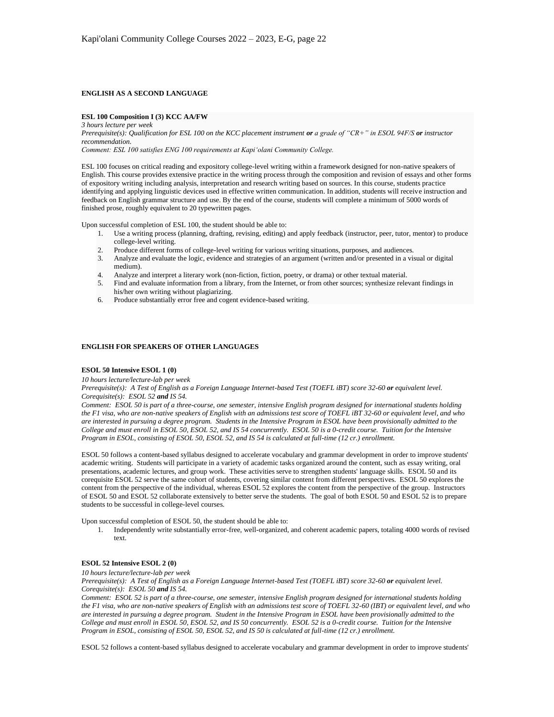## **ENGLISH AS A SECOND LANGUAGE**

#### **ESL 100 Composition I (3) KCC AA/FW**

*3 hours lecture per week Prerequisite(s): Qualification for ESL 100 on the KCC placement instrument or a grade of "CR+" in ESOL 94F/S or instructor recommendation.*

*Comment: ESL 100 satisfies ENG 100 requirements at Kapi'olani Community College.*

ESL 100 focuses on critical reading and expository college-level writing within a framework designed for non-native speakers of English. This course provides extensive practice in the writing process through the composition and revision of essays and other forms of expository writing including analysis, interpretation and research writing based on sources. In this course, students practice identifying and applying linguistic devices used in effective written communication. In addition, students will receive instruction and feedback on English grammar structure and use. By the end of the course, students will complete a minimum of 5000 words of finished prose, roughly equivalent to 20 typewritten pages.

Upon successful completion of ESL 100, the student should be able to:

- 1. Use a writing process (planning, drafting, revising, editing) and apply feedback (instructor, peer, tutor, mentor) to produce college-level writing.
- 2. Produce different forms of college-level writing for various writing situations, purposes, and audiences.
- 3. Analyze and evaluate the logic, evidence and strategies of an argument (written and/or presented in a visual or digital medium).
- 4. Analyze and interpret a literary work (non-fiction, fiction, poetry, or drama) or other textual material.
- 5. Find and evaluate information from a library, from the Internet, or from other sources; synthesize relevant findings in his/her own writing without plagiarizing.
- 6. Produce substantially error free and cogent evidence-based writing.

## **ENGLISH FOR SPEAKERS OF OTHER LANGUAGES**

#### **ESOL 50 Intensive ESOL 1 (0)**

*10 hours lecture/lecture-lab per week*

*Prerequisite(s): A Test of English as a Foreign Language Internet-based Test (TOEFL iBT) score 32-60 or equivalent level. Corequisite(s): ESOL 52 and IS 54.*

*Comment: ESOL 50 is part of a three-course, one semester, intensive English program designed for international students holding the F1 visa, who are non-native speakers of English with an admissions test score of TOEFL iBT 32-60 or equivalent level, and who are interested in pursuing a degree program. Students in the Intensive Program in ESOL have been provisionally admitted to the College and must enroll in ESOL 50, ESOL 52, and IS 54 concurrently. ESOL 50 is a 0-credit course. Tuition for the Intensive Program in ESOL, consisting of ESOL 50, ESOL 52, and IS 54 is calculated at full-time (12 cr.) enrollment.*

ESOL 50 follows a content-based syllabus designed to accelerate vocabulary and grammar development in order to improve students' academic writing. Students will participate in a variety of academic tasks organized around the content, such as essay writing, oral presentations, academic lectures, and group work. These activities serve to strengthen students' language skills. ESOL 50 and its corequisite ESOL 52 serve the same cohort of students, covering similar content from different perspectives. ESOL 50 explores the content from the perspective of the individual, whereas ESOL 52 explores the content from the perspective of the group. Instructors of ESOL 50 and ESOL 52 collaborate extensively to better serve the students. The goal of both ESOL 50 and ESOL 52 is to prepare students to be successful in college-level courses.

Upon successful completion of ESOL 50, the student should be able to:

1. Independently write substantially error-free, well-organized, and coherent academic papers, totaling 4000 words of revised text.

## **ESOL 52 Intensive ESOL 2 (0)**

*10 hours lecture/lecture-lab per week*

*Prerequisite(s): A Test of English as a Foreign Language Internet-based Test (TOEFL iBT) score 32-60 or equivalent level. Corequisite(s): ESOL 50 and IS 54.*

*Comment: ESOL 52 is part of a three-course, one semester, intensive English program designed for international students holding the F1 visa, who are non-native speakers of English with an admissions test score of TOEFL 32-60 (IBT) or equivalent level, and who are interested in pursuing a degree program. Student in the Intensive Program in ESOL have been provisionally admitted to the College and must enroll in ESOL 50, ESOL 52, and IS 50 concurrently. ESOL 52 is a 0-credit course. Tuition for the Intensive Program in ESOL, consisting of ESOL 50, ESOL 52, and IS 50 is calculated at full-time (12 cr.) enrollment.*

ESOL 52 follows a content-based syllabus designed to accelerate vocabulary and grammar development in order to improve students'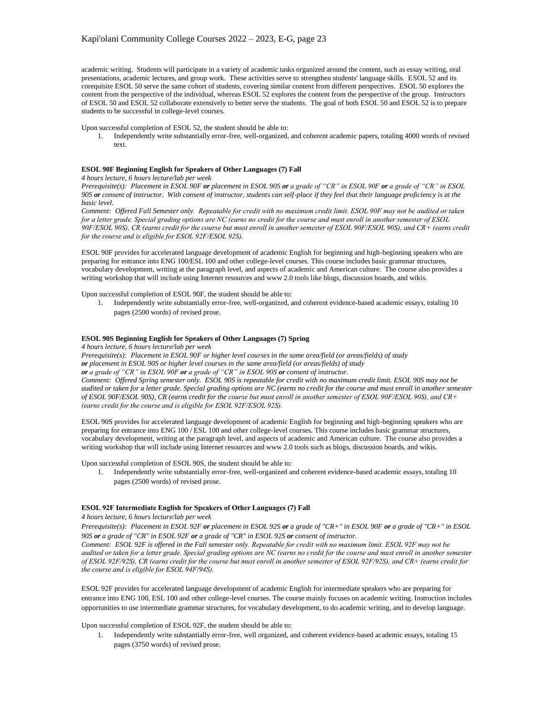academic writing. Students will participate in a variety of academic tasks organized around the content, such as essay writing, oral presentations, academic lectures, and group work. These activities serve to strengthen students' language skills. ESOL 52 and its corequisite ESOL 50 serve the same cohort of students, covering similar content from different perspectives. ESOL 50 explores the content from the perspective of the individual, whereas ESOL 52 explores the content from the perspective of the group. Instructors of ESOL 50 and ESOL 52 collaborate extensively to better serve the students. The goal of both ESOL 50 and ESOL 52 is to prepare students to be successful in college-level courses.

Upon successful completion of ESOL 52, the student should be able to:

1. Independently write substantially error-free, well-organized, and coherent academic papers, totaling 4000 words of revised text.

## **ESOL 90F Beginning English for Speakers of Other Languages (7) Fall**

*4 hours lecture, 6 hours lecture/lab per week*

*Prerequisite(s): Placement in ESOL 90F or placement in ESOL 90S or a grade of "CR" in ESOL 90F or a grade of "CR" in ESOL 90S or consent of instructor. With consent of instructor, students can self-place if they feel that their language proficiency is at the basic level.*

*Comment: Offered Fall Semester only. Repeatable for credit with no maximum credit limit. ESOL 90F may not be audited or taken for a letter grade. Special grading options are NC (earns no credit for the course and must enroll in another semester of ESOL 90F/ESOL 90S), CR (earns credit for the course but must enroll in another semester of ESOL 90F/ESOL 90S), and CR+ (earns credit for the course and is eligible for ESOL 92F/ESOL 92S).*

ESOL 90F provides for accelerated language development of academic English for beginning and high-beginning speakers who are preparing for entrance into ENG 100/ESL 100 and other college-level courses. This course includes basic grammar structures, vocabulary development, writing at the paragraph level, and aspects of academic and American culture. The course also provides a writing workshop that will include using Internet resources and www 2.0 tools like blogs, discussion boards, and wikis.

Upon successful completion of ESOL 90F, the student should be able to:

1. Independently write substantially error-free, well-organized, and coherent evidence-based academic essays, totaling 10 pages (2500 words) of revised prose.

## **ESOL 90S Beginning English for Speakers of Other Languages (7) Spring**

*4 hours lecture, 6 hours lecture/lab per week*

*Prerequisite(s): Placement in ESOL 90F or higher level courses in the same area/field (or areas/fields) of study or placement in ESOL 90S or higher level courses in the same area/field (or areas/fields) of study or a grade of "CR" in ESOL 90F or a grade of "CR" in ESOL 90S or consent of instructor. Comment: Offered Spring semester only. ESOL 90S is repeatable for credit with no maximum credit limit. ESOL 90S may not be audited or taken for a letter grade. Special grading options are NC (earns no credit for the course and must enroll in another semester of ESOL 90F/ESOL 90S), CR (earns credit for the course but must enroll in another semester of ESOL 90F/ESOL 90S), and CR+ (earns credit for the course and is eligible for ESOL 92F/ESOL 92S).*

ESOL 90S provides for accelerated language development of academic English for beginning and high-beginning speakers who are preparing for entrance into ENG 100 / ESL 100 and other college-level courses. This course includes basic grammar structures, vocabulary development, writing at the paragraph level, and aspects of academic and American culture. The course also provides a writing workshop that will include using Internet resources and www 2.0 tools such as blogs, discussion boards, and wikis.

Upon successful completion of ESOL 90S, the student should be able to:

1. Independently write substantially error-free, well-organized and coherent evidence-based academic essays, totaling 10 pages (2500 words) of revised prose.

## **ESOL 92F Intermediate English for Speakers of Other Languages (7) Fall**

*4 hours lecture, 6 hours lecture/lab per week*

*Prerequisite(s): Placement in ESOL 92F or placement in ESOL 92S or a grade of "CR+" in ESOL 90F or a grade of "CR+" in ESOL 90S or a grade of "CR" in ESOL 92F or a grade of "CR" in ESOL 92S or consent of instructor.*

*Comment: ESOL 92F is offered in the Fall semester only. Repeatable for credit with no maximum limit. ESOL 92F may not be audited or taken for a letter grade. Special grading options are NC (earns no credit for the course and must enroll in another semester of ESOL 92F/92S), CR (earns credit for the course but must enroll in another semester of ESOL 92F/92S), and CR+ (earns credit for the course and is eligible for ESOL 94F/94S).*

ESOL 92F provides for accelerated language development of academic English for intermediate speakers who are preparing for entrance into ENG 100, ESL 100 and other college-level courses. The course mainly focuses on academic writing. Instruction includes opportunities to use intermediate grammar structures, for vocabulary development, to do academic writing, and to develop language.

Upon successful completion of ESOL 92F, the student should be able to:

1. Independently write substantially error-free, well organized, and coherent evidence-based academic essays, totaling 15 pages (3750 words) of revised prose.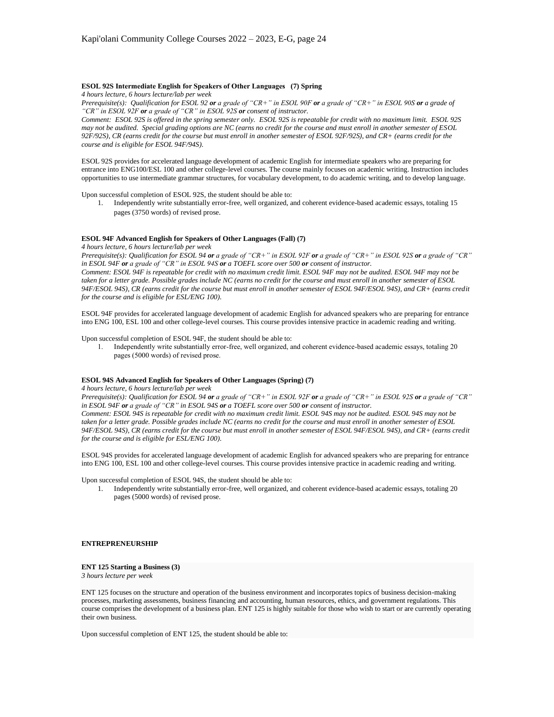## **ESOL 92S Intermediate English for Speakers of Other Languages (7) Spring**

*4 hours lecture, 6 hours lecture/lab per week*

*Prerequisite(s): Qualification for ESOL 92 or a grade of "CR+" in ESOL 90F or a grade of "CR+" in ESOL 90S or a grade of "CR" in ESOL 92F or a grade of "CR" in ESOL 92S or consent of instructor.*

*Comment: ESOL 92S is offered in the spring semester only. ESOL 92S is repeatable for credit with no maximum limit. ESOL 92S may not be audited. Special grading options are NC (earns no credit for the course and must enroll in another semester of ESOL 92F/92S), CR (earns credit for the course but must enroll in another semester of ESOL 92F/92S), and CR+ (earns credit for the course and is eligible for ESOL 94F/94S).*

ESOL 92S provides for accelerated language development of academic English for intermediate speakers who are preparing for entrance into ENG100/ESL 100 and other college-level courses. The course mainly focuses on academic writing. Instruction includes opportunities to use intermediate grammar structures, for vocabulary development, to do academic writing, and to develop language.

Upon successful completion of ESOL 92S, the student should be able to:

1. Independently write substantially error-free, well organized, and coherent evidence-based academic essays, totaling 15 pages (3750 words) of revised prose.

#### **ESOL 94F Advanced English for Speakers of Other Languages (Fall) (7)**

*4 hours lecture, 6 hours lecture/lab per week*

*Prerequisite(s): Qualification for ESOL 94 or a grade of "CR+" in ESOL 92F or a grade of "CR+" in ESOL 92S or a grade of "CR" in ESOL 94F or a grade of "CR" in ESOL 94S or a TOEFL score over 500 or consent of instructor. Comment: ESOL 94F is repeatable for credit with no maximum credit limit. ESOL 94F may not be audited. ESOL 94F may not be taken for a letter grade. Possible grades include NC (earns no credit for the course and must enroll in another semester of ESOL 94F/ESOL 94S), CR (earns credit for the course but must enroll in another semester of ESOL 94F/ESOL 94S), and CR+ (earns credit for the course and is eligible for ESL/ENG 100).*

ESOL 94F provides for accelerated language development of academic English for advanced speakers who are preparing for entrance into ENG 100, ESL 100 and other college-level courses. This course provides intensive practice in academic reading and writing.

Upon successful completion of ESOL 94F, the student should be able to:

1. Independently write substantially error-free, well organized, and coherent evidence-based academic essays, totaling 20 pages (5000 words) of revised prose.

### **ESOL 94S Advanced English for Speakers of Other Languages (Spring) (7)**

*4 hours lecture, 6 hours lecture/lab per week*

*Prerequisite(s): Qualification for ESOL 94 or a grade of "CR+" in ESOL 92F or a grade of "CR+" in ESOL 92S or a grade of "CR" in ESOL 94F or a grade of "CR" in ESOL 94S or a TOEFL score over 500 or consent of instructor. Comment: ESOL 94S is repeatable for credit with no maximum credit limit. ESOL 94S may not be audited. ESOL 94S may not be taken for a letter grade. Possible grades include NC (earns no credit for the course and must enroll in another semester of ESOL 94F/ESOL 94S), CR (earns credit for the course but must enroll in another semester of ESOL 94F/ESOL 94S), and CR+ (earns credit for the course and is eligible for ESL/ENG 100).*

ESOL 94S provides for accelerated language development of academic English for advanced speakers who are preparing for entrance into ENG 100, ESL 100 and other college-level courses. This course provides intensive practice in academic reading and writing.

Upon successful completion of ESOL 94S, the student should be able to:

1. Independently write substantially error-free, well organized, and coherent evidence-based academic essays, totaling 20 pages (5000 words) of revised prose.

## **ENTREPRENEURSHIP**

# **ENT 125 Starting a Business (3)**

*3 hours lecture per week*

ENT 125 focuses on the structure and operation of the business environment and incorporates topics of business decision-making processes, marketing assessments, business financing and accounting, human resources, ethics, and government regulations. This course comprises the development of a business plan. ENT 125 is highly suitable for those who wish to start or are currently operating their own business.

Upon successful completion of ENT 125, the student should be able to: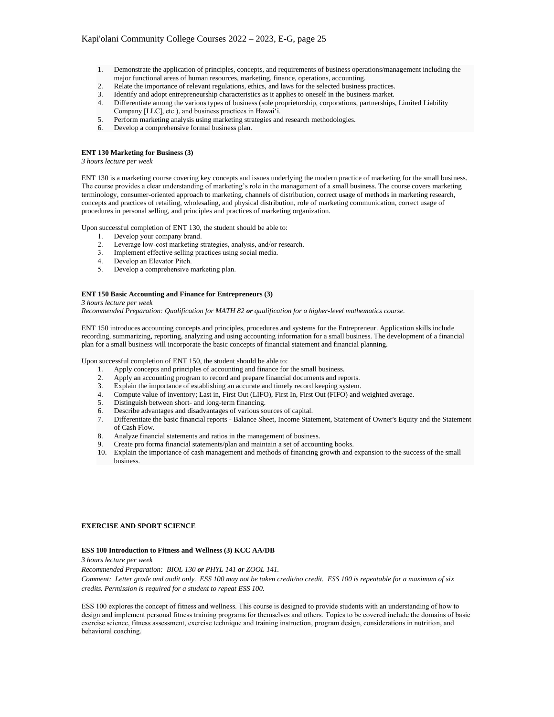- 1. Demonstrate the application of principles, concepts, and requirements of business operations/management including the major functional areas of human resources, marketing, finance, operations, accounting.
- 2. Relate the importance of relevant regulations, ethics, and laws for the selected business practices.
- 3. Identify and adopt entrepreneurship characteristics as it applies to oneself in the business market.
- 4. Differentiate among the various types of business (sole proprietorship, corporations, partnerships, Limited Liability Company [LLC], etc.), and business practices in Hawai'i.
- 5. Perform marketing analysis using marketing strategies and research methodologies.
- 6. Develop a comprehensive formal business plan.

## **ENT 130 Marketing for Business (3)**

*3 hours lecture per week*

ENT 130 is a marketing course covering key concepts and issues underlying the modern practice of marketing for the small business. The course provides a clear understanding of marketing's role in the management of a small business. The course covers marketing terminology, consumer-oriented approach to marketing, channels of distribution, correct usage of methods in marketing research, concepts and practices of retailing, wholesaling, and physical distribution, role of marketing communication, correct usage of procedures in personal selling, and principles and practices of marketing organization.

Upon successful completion of ENT 130, the student should be able to:

- 
- Leverage low-cost marketing strategies, analysis, and/or research.
- 1. Develop your company brand.<br>
2. Leverage low-cost marketing s<br>
3. Implement effective selling pra 3. Implement effective selling practices using social media.
- Develop an Elevator Pitch.
- 5. Develop a comprehensive marketing plan.

#### **ENT 150 Basic Accounting and Finance for Entrepreneurs (3)**

#### *3 hours lecture per week*

*Recommended Preparation: Qualification for MATH 82 or qualification for a higher-level mathematics course.*

ENT 150 introduces accounting concepts and principles, procedures and systems for the Entrepreneur. Application skills include recording, summarizing, reporting, analyzing and using accounting information for a small business. The development of a financial plan for a small business will incorporate the basic concepts of financial statement and financial planning.

Upon successful completion of ENT 150, the student should be able to:

- 1. Apply concepts and principles of accounting and finance for the small business.
- 
- 2. Apply an accounting program to record and prepare financial documents and reports.<br>3. Explain the importance of establishing an accurate and timely record keening system Explain the importance of establishing an accurate and timely record keeping system.
- 4. Compute value of inventory; Last in, First Out (LIFO), First In, First Out (FIFO) and weighted average.
- 5. Distinguish between short- and long-term financing.
- 6. Describe advantages and disadvantages of various sources of capital.
- 7. Differentiate the basic financial reports Balance Sheet, Income Statement, Statement of Owner's Equity and the Statement of Cash Flow.
- 8. Analyze financial statements and ratios in the management of business.
- Create pro forma financial statements/plan and maintain a set of accounting books.
- 10. Explain the importance of cash management and methods of financing growth and expansion to the success of the small business.

### **EXERCISE AND SPORT SCIENCE**

#### **ESS 100 Introduction to Fitness and Wellness (3) KCC AA/DB**

*3 hours lecture per week*

*Recommended Preparation: BIOL 130 or PHYL 141 or ZOOL 141. Comment: Letter grade and audit only. ESS 100 may not be taken credit/no credit. ESS 100 is repeatable for a maximum of six credits. Permission is required for a student to repeat ESS 100.*

ESS 100 explores the concept of fitness and wellness. This course is designed to provide students with an understanding of how to design and implement personal fitness training programs for themselves and others. Topics to be covered include the domains of basic exercise science, fitness assessment, exercise technique and training instruction, program design, considerations in nutrition, and behavioral coaching.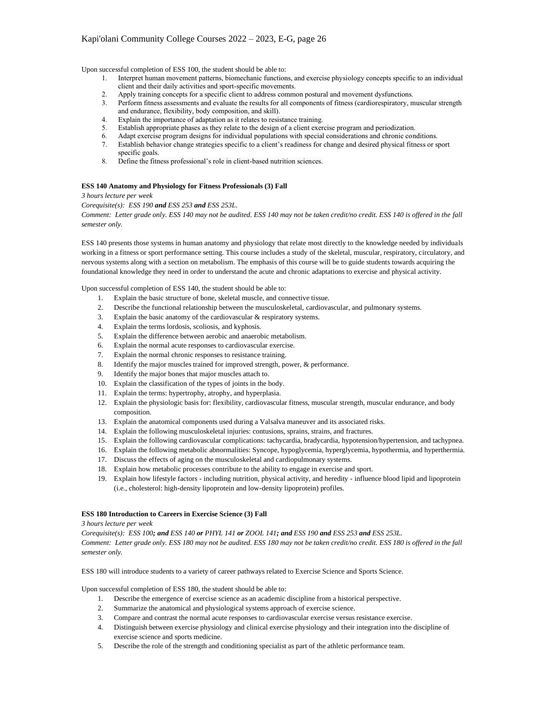Upon successful completion of ESS 100, the student should be able to:

- 1. Interpret human movement patterns, biomechanic functions, and exercise physiology concepts specific to an individual client and their daily activities and sport-specific movements.
- 2. Apply training concepts for a specific client to address common postural and movement dysfunctions.
- 3. Perform fitness assessments and evaluate the results for all components of fitness (cardiorespiratory, muscular strength and endurance, flexibility, body composition, and skill).
- 4. Explain the importance of adaptation as it relates to resistance training.
- 5. Establish appropriate phases as they relate to the design of a client exercise program and periodization.
- 6. Adapt exercise program designs for individual populations with special considerations and chronic conditions.
- 7. Establish behavior change strategies specific to a client's readiness for change and desired physical fitness or sport specific goals.
- 8. Define the fitness professional's role in client-based nutrition sciences.

#### **ESS 140 Anatomy and Physiology for Fitness Professionals (3) Fall**

*3 hours lecture per week*

*Corequisite(s): ESS 190 and ESS 253 and ESS 253L.*

*Comment: Letter grade only. ESS 140 may not be audited. ESS 140 may not be taken credit/no credit. ESS 140 is offered in the fall semester only.*

ESS 140 presents those systems in human anatomy and physiology that relate most directly to the knowledge needed by individuals working in a fitness or sport performance setting. This course includes a study of the skeletal, muscular, respiratory, circulatory, and nervous systems along with a section on metabolism. The emphasis of this course will be to guide students towards acquiring the foundational knowledge they need in order to understand the acute and chronic adaptations to exercise and physical activity.

Upon successful completion of ESS 140, the student should be able to:

- 1. Explain the basic structure of bone, skeletal muscle, and connective tissue.
- 2. Describe the functional relationship between the musculoskeletal, cardiovascular, and pulmonary systems.
- 3. Explain the basic anatomy of the cardiovascular & respiratory systems.
- 4. Explain the terms lordosis, scoliosis, and kyphosis.
- 5. Explain the difference between aerobic and anaerobic metabolism.
- 6. Explain the normal acute responses to cardiovascular exercise.
- 7. Explain the normal chronic responses to resistance training.
- 8. Identify the major muscles trained for improved strength, power, & performance.
- 9. Identify the major bones that major muscles attach to.
- 10. Explain the classification of the types of joints in the body.
- 11. Explain the terms: hypertrophy, atrophy, and hyperplasia.
- 12. Explain the physiologic basis for: flexibility, cardiovascular fitness, muscular strength, muscular endurance, and body composition.
- 13. Explain the anatomical components used during a Valsalva maneuver and its associated risks.
- 14. Explain the following musculoskeletal injuries: contusions, sprains, strains, and fractures.
- 15. Explain the following cardiovascular complications: tachycardia, bradycardia, hypotension/hypertension, and tachypnea.
- 16. Explain the following metabolic abnormalities: Syncope, hypoglycemia, hyperglycemia, hypothermia, and hyperthermia.
- 17. Discuss the effects of aging on the musculoskeletal and cardiopulmonary systems.
- 18. Explain how metabolic processes contribute to the ability to engage in exercise and sport.
- 19. Explain how lifestyle factors including nutrition, physical activity, and heredity influence blood lipid and lipoprotein (i.e., cholesterol: high-density lipoprotein and low-density lipoprotein) profiles.

## **ESS 180 Introduction to Careers in Exercise Science (3) Fall**

*3 hours lecture per week*

*Corequisite(s): ESS 100; and ESS 140 or PHYL 141 or ZOOL 141; and ESS 190 and ESS 253 and ESS 253L. Comment: Letter grade only. ESS 180 may not be audited. ESS 180 may not be taken credit/no credit. ESS 180 is offered in the fall semester only.*

ESS 180 will introduce students to a variety of career pathways related to Exercise Science and Sports Science.

Upon successful completion of ESS 180, the student should be able to:

- 1. Describe the emergence of exercise science as an academic discipline from a historical perspective.
- 2. Summarize the anatomical and physiological systems approach of exercise science.
- 3. Compare and contrast the normal acute responses to cardiovascular exercise versus resistance exercise.
- 4. Distinguish between exercise physiology and clinical exercise physiology and their integration into the discipline of exercise science and sports medicine.
- 5. Describe the role of the strength and conditioning specialist as part of the athletic performance team.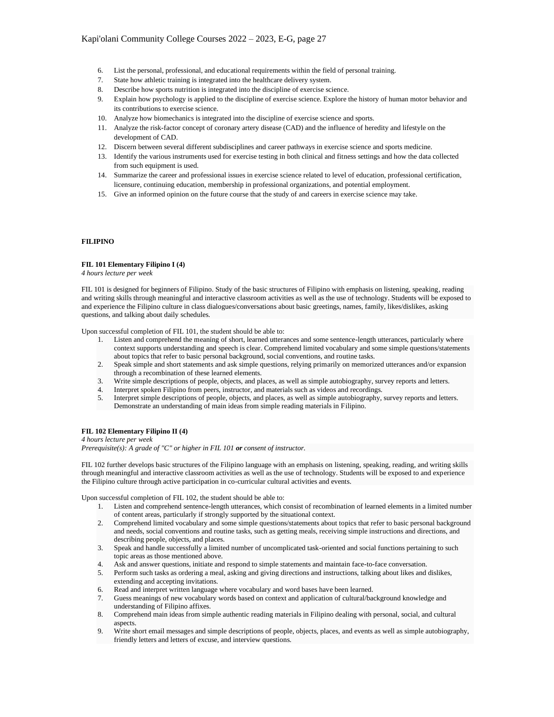- 6. List the personal, professional, and educational requirements within the field of personal training.
- 7. State how athletic training is integrated into the healthcare delivery system.
- 8. Describe how sports nutrition is integrated into the discipline of exercise science.
- 9. Explain how psychology is applied to the discipline of exercise science. Explore the history of human motor behavior and its contributions to exercise science.
- 10. Analyze how biomechanics is integrated into the discipline of exercise science and sports.
- 11. Analyze the risk-factor concept of coronary artery disease (CAD) and the influence of heredity and lifestyle on the development of CAD.
- 12. Discern between several different subdisciplines and career pathways in exercise science and sports medicine.
- 13. Identify the various instruments used for exercise testing in both clinical and fitness settings and how the data collected from such equipment is used.
- 14. Summarize the career and professional issues in exercise science related to level of education, professional certification, licensure, continuing education, membership in professional organizations, and potential employment.
- 15. Give an informed opinion on the future course that the study of and careers in exercise science may take.

## **FILIPINO**

#### **FIL 101 Elementary Filipino I (4)**

*4 hours lecture per week*

FIL 101 is designed for beginners of Filipino. Study of the basic structures of Filipino with emphasis on listening, speaking, reading and writing skills through meaningful and interactive classroom activities as well as the use of technology. Students will be exposed to and experience the Filipino culture in class dialogues/conversations about basic greetings, names, family, likes/dislikes, asking questions, and talking about daily schedules.

Upon successful completion of FIL 101, the student should be able to:

- 1. Listen and comprehend the meaning of short, learned utterances and some sentence-length utterances, particularly where context supports understanding and speech is clear. Comprehend limited vocabulary and some simple questions/statements about topics that refer to basic personal background, social conventions, and routine tasks.
- 2. Speak simple and short statements and ask simple questions, relying primarily on memorized utterances and/or expansion through a recombination of these learned elements.
- 3. Write simple descriptions of people, objects, and places, as well as simple autobiography, survey reports and letters.
- 4. Interpret spoken Filipino from peers, instructor, and materials such as videos and recordings.
- 5. Interpret simple descriptions of people, objects, and places, as well as simple autobiography, survey reports and letters. Demonstrate an understanding of main ideas from simple reading materials in Filipino.

# **FIL 102 Elementary Filipino II (4)**

*4 hours lecture per week Prerequisite(s): A grade of "C" or higher in FIL 101 or consent of instructor.*

FIL 102 further develops basic structures of the Filipino language with an emphasis on listening, speaking, reading, and writing skills through meaningful and interactive classroom activities as well as the use of technology. Students will be exposed to and experience the Filipino culture through active participation in co-curricular cultural activities and events.

Upon successful completion of FIL 102, the student should be able to:

- 1. Listen and comprehend sentence-length utterances, which consist of recombination of learned elements in a limited number of content areas, particularly if strongly supported by the situational context.
- 2. Comprehend limited vocabulary and some simple questions/statements about topics that refer to basic personal background and needs, social conventions and routine tasks, such as getting meals, receiving simple instructions and directions, and describing people, objects, and places.
- 3. Speak and handle successfully a limited number of uncomplicated task-oriented and social functions pertaining to such topic areas as those mentioned above.
- 4. Ask and answer questions, initiate and respond to simple statements and maintain face-to-face conversation.
- 5. Perform such tasks as ordering a meal, asking and giving directions and instructions, talking about likes and dislikes, extending and accepting invitations.
- 6. Read and interpret written language where vocabulary and word bases have been learned.
- 7. Guess meanings of new vocabulary words based on context and application of cultural/background knowledge and understanding of Filipino affixes.
- 8. Comprehend main ideas from simple authentic reading materials in Filipino dealing with personal, social, and cultural aspects.
- 9. Write short email messages and simple descriptions of people, objects, places, and events as well as simple autobiography, friendly letters and letters of excuse, and interview questions.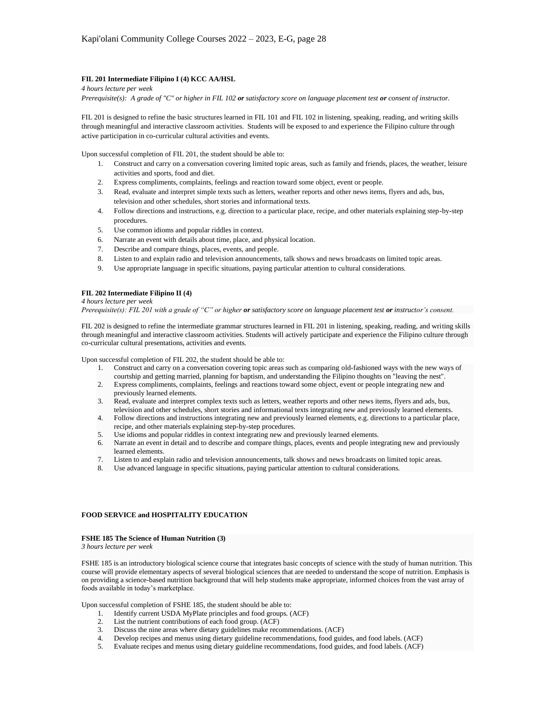# **FIL 201 Intermediate Filipino I (4) KCC AA/HSL**

*4 hours lecture per week* 

*Prerequisite(s): A grade of "C" or higher in FIL 102 or satisfactory score on language placement test or consent of instructor.*

FIL 201 is designed to refine the basic structures learned in FIL 101 and FIL 102 in listening, speaking, reading, and writing skills through meaningful and interactive classroom activities. Students will be exposed to and experience the Filipino culture through active participation in co-curricular cultural activities and events.

Upon successful completion of FIL 201, the student should be able to:

- 1. Construct and carry on a conversation covering limited topic areas, such as family and friends, places, the weather, leisure activities and sports, food and diet.
- 2. Express compliments, complaints, feelings and reaction toward some object, event or people.
- 3. Read, evaluate and interpret simple texts such as letters, weather reports and other news items, flyers and ads, bus, television and other schedules, short stories and informational texts.
- 4. Follow directions and instructions, e.g. direction to a particular place, recipe, and other materials explaining step-by-step procedures.
- 5. Use common idioms and popular riddles in context.
- 6. Narrate an event with details about time, place, and physical location.
- 7. Describe and compare things, places, events, and people.
- 8. Listen to and explain radio and television announcements, talk shows and news broadcasts on limited topic areas.
- 9. Use appropriate language in specific situations, paying particular attention to cultural considerations.

## **FIL 202 Intermediate Filipino II (4)**

#### *4 hours lecture per week*

*Prerequisite(s): FIL 201 with a grade of "C" or higher or satisfactory score on language placement test or instructor's consent.*

FIL 202 is designed to refine the intermediate grammar structures learned in FIL 201 in listening, speaking, reading, and writing skills through meaningful and interactive classroom activities. Students will actively participate and experience the Filipino culture through co-curricular cultural presentations, activities and events.

Upon successful completion of FIL 202, the student should be able to:

- 1. Construct and carry on a conversation covering topic areas such as comparing old-fashioned ways with the new ways of
- courtship and getting married, planning for baptism, and understanding the Filipino thoughts on "leaving the nest". 2. Express compliments, complaints, feelings and reactions toward some object, event or people integrating new and previously learned elements.
- 3. Read, evaluate and interpret complex texts such as letters, weather reports and other news items, flyers and ads, bus, television and other schedules, short stories and informational texts integrating new and previously learned elements.
- 4. Follow directions and instructions integrating new and previously learned elements, e.g. directions to a particular place, recipe, and other materials explaining step-by-step procedures.
- 5. Use idioms and popular riddles in context integrating new and previously learned elements.
- 6. Narrate an event in detail and to describe and compare things, places, events and people integrating new and previously learned elements.
- 7. Listen to and explain radio and television announcements, talk shows and news broadcasts on limited topic areas.
- 8. Use advanced language in specific situations, paying particular attention to cultural considerations.

# **FOOD SERVICE and HOSPITALITY EDUCATION**

#### **FSHE 185 The Science of Human Nutrition (3)**

*3 hours lecture per week*

FSHE 185 is an introductory biological science course that integrates basic concepts of science with the study of human nutrition. This course will provide elementary aspects of several biological sciences that are needed to understand the scope of nutrition. Emphasis is on providing a science-based nutrition background that will help students make appropriate, informed choices from the vast array of foods available in today's marketplace.

Upon successful completion of FSHE 185, the student should be able to:

- 1. Identify current USDA MyPlate principles and food groups. (ACF)
- 2. List the nutrient contributions of each food group. (ACF)
- 3. Discuss the nine areas where dietary guidelines make recommendations. (ACF)
- 4. Develop recipes and menus using dietary guideline recommendations, food guides, and food labels. (ACF)
- 5. Evaluate recipes and menus using dietary guideline recommendations, food guides, and food labels. (ACF)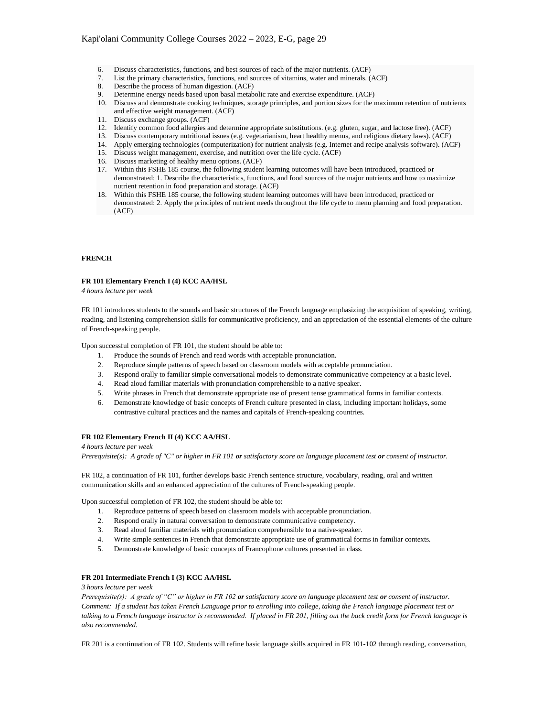- 6. Discuss characteristics, functions, and best sources of each of the major nutrients. (ACF)
- 7. List the primary characteristics, functions, and sources of vitamins, water and minerals. (ACF)
- 8. Describe the process of human digestion. (ACF)
- 9. Determine energy needs based upon basal metabolic rate and exercise expenditure. (ACF)
- 10. Discuss and demonstrate cooking techniques, storage principles, and portion sizes for the maximum retention of nutrients and effective weight management. (ACF)
- 11. Discuss exchange groups. (ACF)
- 12. Identify common food allergies and determine appropriate substitutions. (e.g. gluten, sugar, and lactose free). (ACF)
- 13. Discuss contemporary nutritional issues (e.g. vegetarianism, heart healthy menus, and religious dietary laws). (ACF)
- 14. Apply emerging technologies (computerization) for nutrient analysis (e.g. Internet and recipe analysis software). (ACF)
- 15. Discuss weight management, exercise, and nutrition over the life cycle. (ACF)
- 16. Discuss marketing of healthy menu options. (ACF)
- 17. Within this FSHE 185 course, the following student learning outcomes will have been introduced, practiced or demonstrated: 1. Describe the characteristics, functions, and food sources of the major nutrients and how to maximize nutrient retention in food preparation and storage. (ACF)
- 18. Within this FSHE 185 course, the following student learning outcomes will have been introduced, practiced or demonstrated: 2. Apply the principles of nutrient needs throughout the life cycle to menu planning and food preparation. (ACF)

# **FRENCH**

#### **FR 101 Elementary French I (4) KCC AA/HSL**

*4 hours lecture per week*

FR 101 introduces students to the sounds and basic structures of the French language emphasizing the acquisition of speaking, writing, reading, and listening comprehension skills for communicative proficiency, and an appreciation of the essential elements of the culture of French-speaking people.

Upon successful completion of FR 101, the student should be able to:

- 1. Produce the sounds of French and read words with acceptable pronunciation.
- 2. Reproduce simple patterns of speech based on classroom models with acceptable pronunciation.
- 3. Respond orally to familiar simple conversational models to demonstrate communicative competency at a basic level.
- 4. Read aloud familiar materials with pronunciation comprehensible to a native speaker.
- 5. Write phrases in French that demonstrate appropriate use of present tense grammatical forms in familiar contexts.
- 6. Demonstrate knowledge of basic concepts of French culture presented in class, including important holidays, some contrastive cultural practices and the names and capitals of French-speaking countries.

## **FR 102 Elementary French II (4) KCC AA/HSL**

## *4 hours lecture per week*

*Prerequisite(s): A grade of "C" or higher in FR 101 or satisfactory score on language placement test or consent of instructor.*

FR 102, a continuation of FR 101, further develops basic French sentence structure, vocabulary, reading, oral and written communication skills and an enhanced appreciation of the cultures of French-speaking people.

Upon successful completion of FR 102, the student should be able to:

- 1. Reproduce patterns of speech based on classroom models with acceptable pronunciation.
- 2. Respond orally in natural conversation to demonstrate communicative competency.
- 3. Read aloud familiar materials with pronunciation comprehensible to a native-speaker.
- 4. Write simple sentences in French that demonstrate appropriate use of grammatical forms in familiar contexts.<br>5. Demonstrate knowledge of basic concepts of Francophone cultures presented in class.
- 5. Demonstrate knowledge of basic concepts of Francophone cultures presented in class.

# **FR 201 Intermediate French I (3) KCC AA/HSL**

#### *3 hours lecture per week*

*Prerequisite(s): A grade of "C" or higher in FR 102 or satisfactory score on language placement test or consent of instructor. Comment: If a student has taken French Language prior to enrolling into college, taking the French language placement test or talking to a French language instructor is recommended. If placed in FR 201, filling out the back credit form for French language is also recommended.*

FR 201 is a continuation of FR 102. Students will refine basic language skills acquired in FR 101-102 through reading, conversation,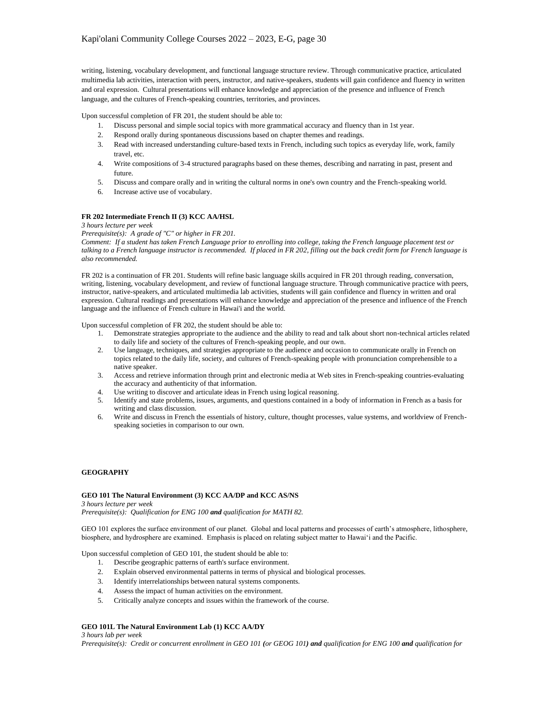writing, listening, vocabulary development, and functional language structure review. Through communicative practice, articulated multimedia lab activities, interaction with peers, instructor, and native-speakers, students will gain confidence and fluency in written and oral expression. Cultural presentations will enhance knowledge and appreciation of the presence and influence of French language, and the cultures of French-speaking countries, territories, and provinces.

Upon successful completion of FR 201, the student should be able to:

- 1. Discuss personal and simple social topics with more grammatical accuracy and fluency than in 1st year.<br>2. Respond orally during spontaneous discussions based on chapter themes and readings.
- Respond orally during spontaneous discussions based on chapter themes and readings.
- 3. Read with increased understanding culture-based texts in French, including such topics as everyday life, work, family travel, etc.
- 4. Write compositions of 3-4 structured paragraphs based on these themes, describing and narrating in past, present and future.
- 5. Discuss and compare orally and in writing the cultural norms in one's own country and the French-speaking world.
- 6. Increase active use of vocabulary.

## **FR 202 Intermediate French II (3) KCC AA/HSL**

*3 hours lecture per week*

*Prerequisite(s): A grade of "C" or higher in FR 201.*

*Comment: If a student has taken French Language prior to enrolling into college, taking the French language placement test or talking to a French language instructor is recommended. If placed in FR 202, filling out the back credit form for French language is also recommended.*

FR 202 is a continuation of FR 201. Students will refine basic language skills acquired in FR 201 through reading, conversation, writing, listening, vocabulary development, and review of functional language structure. Through communicative practice with peers, instructor, native-speakers, and articulated multimedia lab activities, students will gain confidence and fluency in written and oral expression. Cultural readings and presentations will enhance knowledge and appreciation of the presence and influence of the French language and the influence of French culture in Hawai'i and the world.

Upon successful completion of FR 202, the student should be able to:

- 1. Demonstrate strategies appropriate to the audience and the ability to read and talk about short non-technical articles related to daily life and society of the cultures of French-speaking people, and our own.
- 2. Use language, techniques, and strategies appropriate to the audience and occasion to communicate orally in French on topics related to the daily life, society, and cultures of French-speaking people with pronunciation comprehensible to a native speaker.
- 3. Access and retrieve information through print and electronic media at Web sites in French-speaking countries-evaluating the accuracy and authenticity of that information.
- 4. Use writing to discover and articulate ideas in French using logical reasoning.
- 5. Identify and state problems, issues, arguments, and questions contained in a body of information in French as a basis for writing and class discussion.
- 6. Write and discuss in French the essentials of history, culture, thought processes, value systems, and worldview of Frenchspeaking societies in comparison to our own.

# **GEOGRAPHY**

## **GEO 101 The Natural Environment (3) KCC AA/DP and KCC AS/NS**

*3 hours lecture per week Prerequisite(s): Qualification for ENG 100 and qualification for MATH 82.*

GEO 101 explores the surface environment of our planet. Global and local patterns and processes of earth's atmosphere, lithosphere, biosphere, and hydrosphere are examined. Emphasis is placed on relating subject matter to Hawai'i and the Pacific.

Upon successful completion of GEO 101, the student should be able to:

- 1. Describe geographic patterns of earth's surface environment.
- 2. Explain observed environmental patterns in terms of physical and biological processes.
- 3. Identify interrelationships between natural systems components.
- 4. Assess the impact of human activities on the environment.
- 5. Critically analyze concepts and issues within the framework of the course.

# **GEO 101L The Natural Environment Lab (1) KCC AA/DY**

*3 hours lab per week Prerequisite(s): Credit or concurrent enrollment in GEO 101 (or GEOG 101) and qualification for ENG 100 and qualification for*